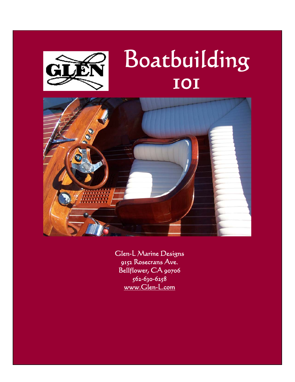

# Boatbuilding 101



Glen-L Marine Designs 9152 Rosecrans Ave. Bellflower, CA 90706 562-630-6258 <www.Glen-L.com>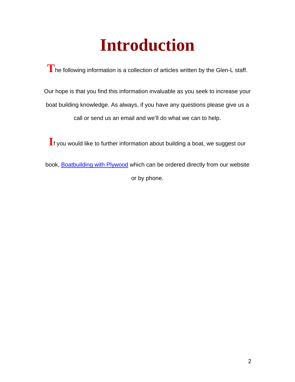# **Introduction**

**T**he following information is a collection of articles written by the Glen-L staff.

Our hope is that you find this information invaluable as you seek to increase your boat building knowledge. As always, if you have any questions please give us a call or send us an email and we'll do what we can to help.

**I**f you would like to further information about building a boat, we suggest our

book, [Boatbuilding with Plywood](http://boatdesigns.com/products.asp?dept=34) which can be ordered directly from our website or by phone.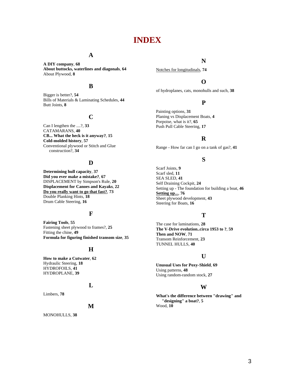# **INDEX**

## **A**

**A DIY company**, **68 About buttocks, waterlines and diagonals**, **64** About Plywood, **8**

### **B**

Bigger is better?, **54** Bills of Materials & Laminating Schedules, **44** Butt Joints, **8**

#### **C**

Can I lengthen the ....?, **33** CATAMARANS, **40 CB... What the heck is it anyway?**, **15 Cold-molded history**, **57** Conventional plywood or Stitch and Glue construction?, **34**

#### **D**

**Determining hull capacity**, **37 Did you ever make a mistake?**, **67** DISPLACEMENT by Simpson's Rule, **20 Displacement for Canoes and Kayaks**, **22 Do you really want to go that fast?**, **73** Double Planking Hints, **18** Drum Cable Steering, **16**

### **F**

**Fairing Tools**, **55** Fastening sheet plywood to frames?, **25** Fitting the chine, **49 Formula for figuring finished transom size**, **35**

#### **H**

**How to make a Cutwater**, **62** Hydraulic Steering, **18** HYDROFOILS, **41** HYDROPLANE, **39**

#### **L**

Limbers, **78**

#### **M**

MONOHULLS, **38**

### **N**

Notches for longitudinals, **74**

## **O**

of hydroplanes, cats, monohulls and such, **38**

## **P**

Painting options, **31** Planing vs Displacement Boats, **4** Porpoise, what is it?, **65** Push Pull Cable Steering, **17**

## **R**

Range - How far can I go on a tank of gas?, **41**

## **S**

Scarf Joints, **9** Scarf sled, **11** SEA SLED, **41** Self Draining Cockpit, **24** Setting up - The foundation for building a boat, **46 Setting up...**, **76** Sheet plywood development, **43** Steering for Boats, **16**

## **T**

The case for laminations, **28 The V-Drive evolution..circa 1953 to ?**, **59 Then and NOW**, **71** Transom Reinforcement, **23** TUNNEL HULLS, **40**

#### **U**

**Unusual Uses for Poxy-Shield**, **69** Using patterns, **48** Using random-random stock, **27**

#### **W**

**What's the difference between "drawing" and "designing" a boat?**, **5** Wood, **10**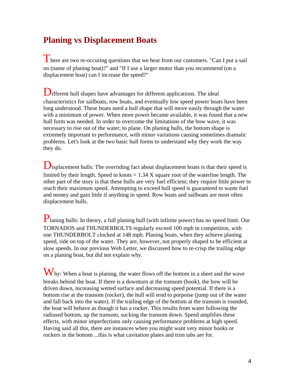# **Planing vs Displacement Boats**

There are two re-occuring questions that we hear from our customers. "Can I put a sail on (name of planing boat)?" and "If I use a larger motor than you recommend (on a displacement boat) can I increase the speed?"

**D**ifferent hull shapes have advantages for different applications. The ideal characteristics for sailboats, row boats, and eventually low speed power boats have been long understood. These boats need a hull shape that will move easily through the water with a minimum of power. When more power became available, it was found that a new hull form was needed. In order to overcome the limitations of the bow wave, it was necessary to rise out of the water, to plane. On planing hulls, the bottom shape is extremely important to performance, with minor variations causing sometimes dramatic problems. Let's look at the two basic hull forms to understand why they work the way they do.

**D**isplacement hulls: The overriding fact about displacement boats is that their speed is limited by their length. Speed in knots  $= 1.34$  X square root of the waterline length. The other part of the story is that these hulls are very fuel efficient; they require little power to reach their maximum speed. Attempting to exceed hull speed is guaranteed to waste fuel and money and gain little if anything in speed. Row boats and sailboats are most often displacement hulls.

Planing hulls: In theory, a full planing hull (with infinite power) has no speed limit. Our TORNADOS and THUNDERBOLTS regularly exceed 100 mph in competition, with one THUNDERBOLT clocked at 148 mph. Planing boats, when they achieve planing speed, ride on top of the water. They are, however, not properly shaped to be efficient at slow speeds. In our previous Web Letter, we discussed how to re-crisp the trailing edge on a planing boat, but did not explain why.

 $\mathbf{W}_{\text{hy:}}$  When a boat is planing, the water flows off the bottom in a sheet and the wave breaks behind the boat. If there is a downturn at the transom (hook), the bow will be driven down, increasing wetted surface and decreasing speed potential. If there is a bottom rise at the transom (rocker), the hull will tend to porpoise (jump out of the water and fall back into the water). If the trailing edge of the bottom at the transom is rounded, the boat will behave as though it has a rocker. This results from water following the radiused bottom, up the transom, sucking the transom down. Speed amplifies these effects, with minor imperfections only causing performance problems at high speed. Having said all this, there are instances when you might want very minor hooks or rockers in the bottom ...this is what cavitation plates and trim tabs are for.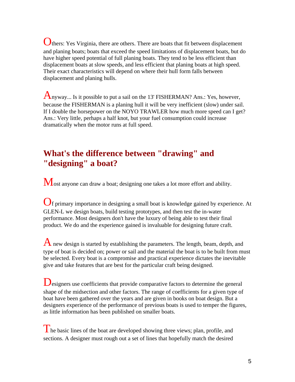Others: Yes Virginia, there are others. There are boats that fit between displacement and planing boats; boats that exceed the speed limitations of displacement boats, but do have higher speed potential of full planing boats. They tend to be less efficient than displacement boats at slow speeds, and less efficient that planing boats at high speed. Their exact characteristics will depend on where their hull form falls between displacement and planing hulls.

Anyway... Is it possible to put a sail on the 13' FISHERMAN? Ans.: Yes, however, because the FISHERMAN is a planing hull it will be very inefficient (slow) under sail. If I double the horsepower on the NOYO TRAWLER how much more speed can I get? Ans.: Very little, perhaps a half knot, but your fuel consumption could increase dramatically when the motor runs at full speed.

# **What's the difference between "drawing" and "designing" a boat?**

Most anyone can draw a boat; designing one takes a lot more effort and ability.

Of primary importance in designing a small boat is knowledge gained by experience. At GLEN-L we design boats, build testing prototypes, and then test the in-water performance. Most designers don't have the luxury of being able to test their final product. We do and the experience gained is invaluable for designing future craft.

 $\bf{A}$  new design is started by establishing the parameters. The length, beam, depth, and type of boat is decided on; power or sail and the material the boat is to be built from must be selected. Every boat is a compromise and practical experience dictates the inevitable give and take features that are best for the particular craft being designed.

Designers use coefficients that provide comparative factors to determine the general shape of the midsection and other factors. The range of coefficients for a given type of boat have been gathered over the years and are given in books on boat design. But a designers experience of the performance of previous boats is used to temper the figures, as little information has been published on smaller boats.

 $\mathbf{\hat{I}}$  he basic lines of the boat are developed showing three views; plan, profile, and sections. A designer must rough out a set of lines that hopefully match the desired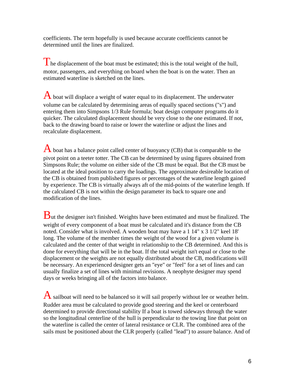coefficients. The term hopefully is used because accurate coefficients cannot be determined until the lines are finalized.

The displacement of the boat must be estimated; this is the total weight of the hull, motor, passengers, and everything on board when the boat is on the water. Then an estimated waterline is sketched on the lines.

 $\bf{A}$  boat will displace a weight of water equal to its displacement. The underwater volume can be calculated by determining areas of equally spaced sections ("s") and entering them into Simpsons 1/3 Rule formula; boat design computer programs do it quicker. The calculated displacement should be very close to the one estimated. If not, back to the drawing board to raise or lower the waterline or adjust the lines and recalculate displacement.

 $\overline{A}$  boat has a balance point called center of buoyancy (CB) that is comparable to the pivot point on a teeter totter. The CB can be determined by using figures obtained from Simpsons Rule; the volume on either side of the CB must be equal. But the CB must be located at the ideal position to carry the loadings. The approximate desireable location of the CB is obtained from published figures or percentages of the waterline length gained by experience. The CB is virtually always aft of the mid-points of the waterline length. If the calculated CB is not within the design parameter its back to square one and modification of the lines.

**ut the designer isn't finished. Weights have been estimated and must be finalized. The** weight of every component of a boat must be calculated and it's distance from the CB noted. Consider what is involved. A wooden boat may have a 1 14" x 3 1/2" keel 18' long. The volume of the member times the weight of the wood for a given volume is calculated and the center of that weight in relationship to the CB determined. And this is done for everything that will be in the boat. If the total weight isn't equal or close to the displacement or the weights are not equally distributed about the CB, modifications will be necessary. An experienced designer gets an "eye" or "feel" for a set of lines and can usually finalize a set of lines with minimal revisions. A neophyte designer may spend days or weeks bringing all of the factors into balance.

A sailboat will need to be balanced so it will sail properly without lee or weather helm. Rudder area must be calculated to provide good steering and the keel or centerboard determined to provide directional stability If a boat is towed sideways through the water so the longitudinal centerline of the hull is perpendicular to the towing line that point on the waterline is called the center of lateral resistance or CLR. The combined area of the sails must be positioned about the CLR properly (called "lead") to assure balance. And of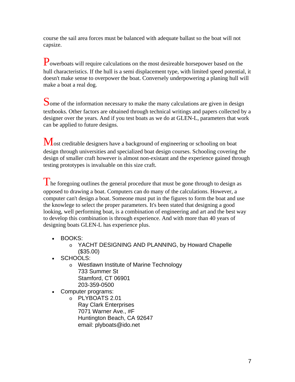course the sail area forces must be balanced with adequate ballast so the boat will not capsize.

Powerboats will require calculations on the most desireable horsepower based on the hull characteristics. If the hull is a semi displacement type, with limited speed potential, it doesn't make sense to overpower the boat. Conversely underpowering a planing hull will make a boat a real dog.

Some of the information necessary to make the many calculations are given in design textbooks. Other factors are obtained through technical writings and papers collected by a designer over the years. And if you test boats as we do at GLEN-L, parameters that work can be applied to future designs.

Most creditable designers have a background of engineering or schooling on boat design through universities and specialized boat design courses. Schooling covering the design of smaller craft however is almost non-existant and the experience gained through testing prototypes is invaluable on this size craft.

The foregoing outlines the general procedure that must be gone through to design as opposed to drawing a boat. Computers can do many of the calculations. However, a computer can't design a boat. Someone must put in the figures to form the boat and use the knowlege to select the proper parameters. It's been stated that designing a good looking, well performing boat, is a combination of engineering and art and the best way to develop this combination is through experience. And with more than 40 years of designing boats GLEN-L has experience plus.

- BOOKS:
	- o YACHT DESIGNING AND PLANNING, by Howard Chapelle (\$35.00)
- SCHOOLS:
	- o Westlawn Institute of Marine Technology 733 Summer St Stamford, CT 06901 203-359-0500
- Computer programs:
	- o PLYBOATS 2.01 Ray Clark Enterprises 7071 Warner Ave., #F Huntington Beach, CA 92647 email: plyboats@ido.net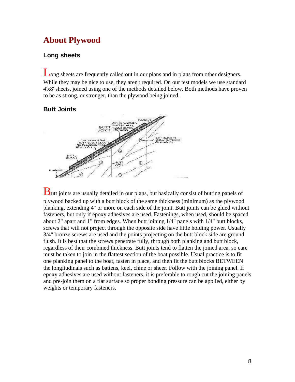# **About Plywood**

## **Long sheets**

Long sheets are frequently called out in our plans and in plans from other designers. While they may be nice to use, they aren't required. On our test models we use standard 4'x8' sheets, joined using one of the methods detailed below. Both methods have proven to be as strong, or stronger, than the plywood being joined.

## **Butt Joints**



Butt joints are usually detailed in our plans, but basically consist of butting panels of plywood backed up with a butt block of the same thickness (minimum) as the plywood planking, extending 4" or more on each side of the joint. Butt joints can be glued without fasteners, but only if epoxy adhesives are used. Fastenings, when used, should be spaced about 2" apart and 1" from edges. When butt joining 1/4" panels with 1/4" butt blocks, screws that will not project through the opposite side have little holding power. Usually 3/4" bronze screws are used and the points projecting on the butt block side are ground flush. It is best that the screws penetrate fully, through both planking and butt block, regardless of their combined thickness. Butt joints tend to flatten the joined area, so care must be taken to join in the flattest section of the boat possible. Usual practice is to fit one planking panel to the boat, fasten in place, and then fit the butt blocks BETWEEN the longitudinals such as battens, keel, chine or sheer. Follow with the joining panel. If epoxy adhesives are used without fasteners, it is preferable to rough cut the joining panels and pre-join them on a flat surface so proper bonding pressure can be applied, either by weights or temporary fasteners.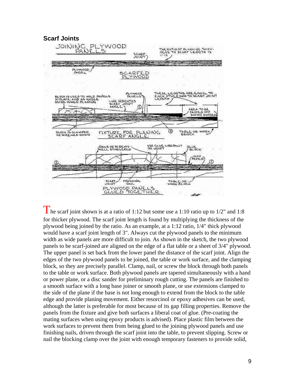

The scarf joint shown is at a ratio of 1:12 but some use a 1:10 ratio up to  $1/2$ " and 1:8 for thicker plywood. The scarf joint length is found by multiplying the thickness of the plywood being joined by the ratio. As an example, at a 1:12 ratio, 1/4" thick plywood would have a scarf joint length of 3". Always cut the plywood panels to the minimum width as wide panels are more difficult to join. As shown in the sketch, the two plywood panels to be scarf-joined are aligned on the edge of a flat table or a sheet of 3/4" plywood. The upper panel is set back from the lower panel the distance of the scarf joint. Align the edges of the two plywood panels to be joined, the table or work surface, and the clamping block, so they are precisely parallel. Clamp, nail, or screw the block through both panels to the table or work surface. Both plywood panels are tapered simultaneously with a hand or power plane, or a disc sander for preliminary rough cutting. The panels are finished to a smooth surface with a long base joiner or smooth plane, or use extensions clamped to the side of the plane if the base is not long enough to extend from the block to the table edge and provide planing movement. Either resorcinol or epoxy adhesives can be used, although the latter is preferable for most because of its gap filling properties. Remove the panels from the fixture and give both surfaces a liberal coat of glue. (Pre-coating the mating surfaces when using epoxy products is advised). Place plastic film between the work surfaces to prevent them from being glued to the joining plywood panels and use finishing nails, driven through the scarf joint into the table, to prevent slipping. Screw or nail the blocking clamp over the joint with enough temporary fasteners to provide solid,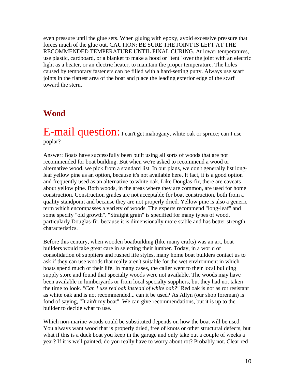even pressure until the glue sets. When gluing with epoxy, avoid excessive pressure that forces much of the glue out. CAUTION: BE SURE THE JOINT IS LEFT AT THE RECOMMENDED TEMPERATURE UNTIL FINAL CURING. At lower temperatures, use plastic, cardboard, or a blanket to make a hood or "tent" over the joint with an electric light as a heater, or an electric heater, to maintain the proper temperature. The holes caused by temporary fasteners can be filled with a hard-setting putty. Always use scarf joints in the flattest area of the boat and place the leading exterior edge of the scarf toward the stern.

# **Wood**

E-mail question: I can't get mahogany, white oak or spruce; can I use poplar?

Answer: Boats have successfully been built using all sorts of woods that are not recommended for boat building. But when we're asked to recommend a wood or alternative wood, we pick from a standard list. In our plans, we don't generally list longleaf yellow pine as an option, because it's not available here. It fact, it is a good option and frequently used as an alternative to white oak. Like Douglas-fir, there are caveats about yellow pine. Both woods, in the areas where they are common, are used for home construction. Construction grades are not acceptable for boat construction, both from a quality standpoint and because they are not properly dried. Yellow pine is also a generic term which encompasses a variety of woods. The experts recommend "long-leaf" and some specify "old growth". "Straight grain" is specified for many types of wood, particularly Douglas-fir, because it is dimensionally more stable and has better strength characteristics.

Before this century, when wooden boatbuilding (like many crafts) was an art, boat builders would take great care in selecting their lumber. Today, in a world of consolidation of suppliers and rushed life styles, many home boat builders contact us to ask if they can use woods that really aren't suitable for the wet environment in which boats spend much of their life. In many cases, the caller went to their local building supply store and found that specialty woods were not available. The woods may have been available in lumberyards or from local specialty suppliers, but they had not taken the time to look. *"Can I use red oak instead of white oak?"* Red oak is not as rot resistant as white oak and is not recommended... can it be used? As Allyn (our shop foreman) is fond of saying, "It ain't my boat". We can give recommendations, but it is up to the builder to decide what to use.

Which non-marine woods could be substituted depends on how the boat will be used. You always want wood that is properly dried, free of knots or other structural defects, but what if this is a duck boat you keep in the garage and only take out a couple of weeks a year? If it is well painted, do you really have to worry about rot? Probably not. Clear red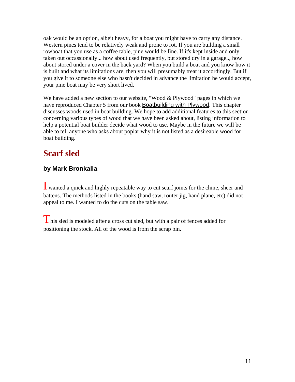oak would be an option, albeit heavy, for a boat you might have to carry any distance. Western pines tend to be relatively weak and prone to rot. If you are building a small rowboat that you use as a coffee table, pine would be fine. If it's kept inside and only taken out occassionally... how about used frequently, but stored dry in a garage.., how about stored under a cover in the back yard? When you build a boat and you know how it is built and what its limitations are, then you will presumably treat it accordingly. But if you give it to someone else who hasn't decided in advance the limitation he would accept, your pine boat may be very short lived.

We have added a new section to our website, "Wood & Plywood" pages in which we have reproduced Chapter 5 from our book Boatbuilding with Plywood. This chapter discusses woods used in boat building. We hope to add additional features to this section concerning various types of wood that we have been asked about, listing information to help a potential boat builder decide what wood to use. Maybe in the future we will be able to tell anyone who asks about poplar why it is not listed as a desireable wood for boat building.

# **Scarf sled**

## **by Mark Bronkalla**

I wanted a quick and highly repeatable way to cut scarf joints for the chine, sheer and battens. The methods listed in the books (hand saw, router jig, hand plane, etc) did not appeal to me. I wanted to do the cuts on the table saw.

 $\overline{I}$  his sled is modeled after a cross cut sled, but with a pair of fences added for positioning the stock. All of the wood is from the scrap bin.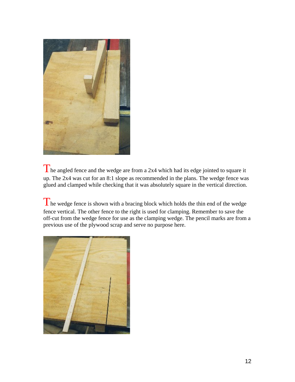

The angled fence and the wedge are from a 2x4 which had its edge jointed to square it up. The 2x4 was cut for an 8:1 slope as recommended in the plans. The wedge fence was glued and clamped while checking that it was absolutely square in the vertical direction.

The wedge fence is shown with a bracing block which holds the thin end of the wedge fence vertical. The other fence to the right is used for clamping. Remember to save the off-cut from the wedge fence for use as the clamping wedge. The pencil marks are from a previous use of the plywood scrap and serve no purpose here.

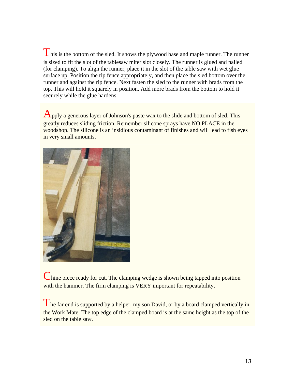This is the bottom of the sled. It shows the plywood base and maple runner. The runner is sized to fit the slot of the tablesaw miter slot closely. The runner is glued and nailed (for clamping). To align the runner, place it in the slot of the table saw with wet glue surface up. Position the rip fence appropriately, and then place the sled bottom over the runner and against the rip fence. Next fasten the sled to the runner with brads from the top. This will hold it squarely in position. Add more brads from the bottom to hold it securely while the glue hardens.

Apply a generous layer of Johnson's paste wax to the slide and bottom of sled. This greatly reduces sliding friction. Remember silicone sprays have NO PLACE in the woodshop. The silicone is an insidious contaminant of finishes and will lead to fish eyes in very small amounts.



Chine piece ready for cut. The clamping wedge is shown being tapped into position with the hammer. The firm clamping is VERY important for repeatability.

The far end is supported by a helper, my son David, or by a board clamped vertically in the Work Mate. The top edge of the clamped board is at the same height as the top of the sled on the table saw.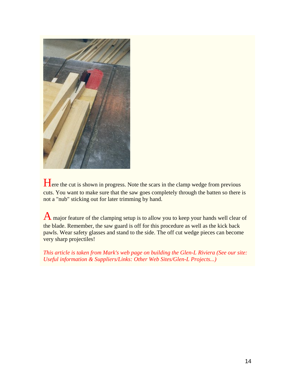

Here the cut is shown in progress. Note the scars in the clamp wedge from previous cuts. You want to make sure that the saw goes completely through the batten so there is not a "nub" sticking out for later trimming by hand.

A major feature of the clamping setup is to allow you to keep your hands well clear of the blade. Remember, the saw guard is off for this procedure as well as the kick back pawls. Wear safety glasses and stand to the side. The off cut wedge pieces can become very sharp projectiles!

*This article is taken from Mark's web page on building the Glen-L Riviera (See our site: Useful information & Suppliers/Links: Other Web Sites/Glen-L Projects...)*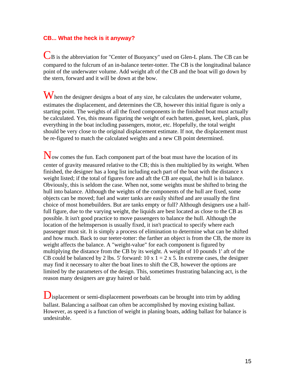## **CB... What the heck is it anyway?**

CB is the abbreviation for "Center of Buoyancy" used on Glen-L plans. The CB can be compared to the fulcrum of an in-balance teeter-totter. The CB is the longitudinal balance point of the underwater volume. Add weight aft of the CB and the boat will go down by the stern, forward and it will be down at the bow.

When the designer designs a boat of any size, he calculates the underwater volume, estimates the displacement, and determines the CB, however this initial figure is only a starting point. The weights of all the fixed components in the finished boat must actually be calculated. Yes, this means figuring the weight of each batten, gusset, keel, plank, plus everything in the boat including passengers, motor, etc. Hopefully, the total weight should be very close to the original displacement estimate. If not, the displacement must be re-figured to match the calculated weights and a new CB point determined.

Now comes the fun. Each component part of the boat must have the location of its center of gravity measured relative to the CB; this is then multiplied by its weight. When finished, the designer has a long list including each part of the boat with the distance x weight listed; if the total of figures fore and aft the CB are equal, the hull is in balance. Obviously, this is seldom the case. When not, some weights must be shifted to bring the hull into balance. Although the weights of the components of the hull are fixed, some objects can be moved; fuel and water tanks are easily shifted and are usually the first choice of most homebuilders. But are tanks empty or full? Although designers use a halffull figure, due to the varying weight, the liquids are best located as close to the CB as possible. It isn't good practice to move passengers to balance the hull. Although the location of the helmsperson is usually fixed, it isn't practical to specify where each passenger must sit. It is simply a process of elimination to determine what can be shifted and how much. Back to our teeter-totter: the farther an object is from the CB, the more its weight affects the balance. A "weight-value" for each component is figured by multiplying the distance from the CB by its weight. A weight of 10 pounds 1' aft of the CB could be balanced by 2 lbs. 5' forward:  $10 \times 1 = 2 \times 5$ . In extreme cases, the designer may find it necessary to alter the boat lines to shift the CB, however the options are limited by the parameters of the design. This, sometimes frustrating balancing act, is the reason many designers are gray haired or bald.

**D**isplacement or semi-displacement powerboats can be brought into trim by adding ballast. Balancing a sailboat can often be accomplished by moving existing ballast. However, as speed is a function of weight in planing boats, adding ballast for balance is undesirable.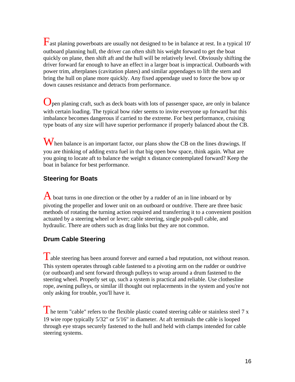$\Gamma$  ast planing powerboats are usually not designed to be in balance at rest. In a typical 10' outboard planning hull, the driver can often shift his weight forward to get the boat quickly on plane, then shift aft and the hull will be relatively level. Obviously shifting the driver forward far enough to have an effect in a larger boat is impractical. Outboards with power trim, afterplanes (cavitation plates) and similar appendages to lift the stern and bring the hull on plane more quickly. Any fixed appendage used to force the bow up or down causes resistance and detracts from performance.

Open planing craft, such as deck boats with lots of passenger space, are only in balance with certain loading. The typical bow rider seems to invite everyone up forward but this imbalance becomes dangerous if carried to the extreme. For best performance, cruising type boats of any size will have superior performance if properly balanced about the CB.

When balance is an important factor, our plans show the CB on the lines drawings. If you are thinking of adding extra fuel in that big open bow space, think again. What are you going to locate aft to balance the weight x distance contemplated forward? Keep the boat in balance for best performance.

## **Steering for Boats**

 $\bf{A}$  boat turns in one direction or the other by a rudder of an in line inboard or by pivoting the propeller and lower unit on an outboard or outdrive. There are three basic methods of rotating the turning action required and transferring it to a convenient position actuated by a steering wheel or lever; cable steering, single push-pull cable, and hydraulic. There are others such as drag links but they are not common.

## **Drum Cable Steering**

Table steering has been around forever and earned a bad reputation, not without reason. This system operates through cable fastened to a pivoting arm on the rudder or outdrive (or outboard) and sent forward through pulleys to wrap around a drum fastened to the steering wheel. Properly set up, such a system is practical and reliable. Use clothesline rope, awning pulleys, or similar ill thought out replacements in the system and you're not only asking for trouble, you'll have it.

 $\blacksquare$  he term "cable" refers to the flexible plastic coated steering cable or stainless steel 7 x 19 wire rope typically 5/32" or 5/16" in diameter. At aft terminals the cable is looped through eye straps securely fastened to the hull and held with clamps intended for cable steering systems.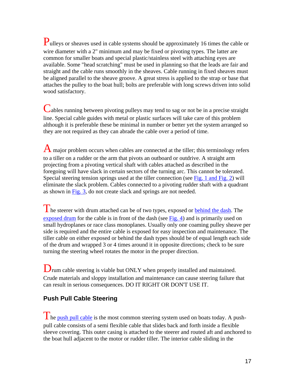Pulleys or sheaves used in cable systems should be approximately 16 times the cable or wire diameter with a 2" minimum and may be fixed or pivoting types. The latter are common for smaller boats and special plastic/stainless steel with attaching eyes are available. Some "head scratching" must be used in planning so that the leads are fair and straight and the cable runs smoothly in the sheaves. Cable running in fixed sheaves must be aligned parallel to the sheave groove. A great stress is applied to the strap or base that attaches the pulley to the boat hull; bolts are preferable with long screws driven into solid wood satisfactory.

Cables running between pivoting pulleys may tend to sag or not be in a precise straight line. Special cable guides with metal or plastic surfaces will take care of this problem although it is preferable these be minimal in number or better yet the system arranged so they are not required as they can abrade the cable over a period of time.

A major problem occurs when cables are connected at the tiller; this terminology refers to a tiller on a rudder or the arm that pivots an outboard or outdrive. A straight arm projecting from a pivoting vertical shaft with cables attached as described in the foregoing will have slack in certain sectors of the turning arc. This cannot be tolerated. Special steering tension springs used at the tiller connection (see [Fig. 1 and Fig. 2\)](http://www.glen-l.com/weblettr/webletters-3/wl26-fig1.html) will eliminate the slack problem. Cables connected to a pivoting rudder shaft with a quadrant as shown in [Fig. 3,](http://www.glen-l.com/weblettr/webletters-3/wl26-fig3.html) do not create slack and springs are not needed.

The steerer with drum attached can be of two types, exposed or **behind the dash**. The [exposed drum](http://boatdesigns.com/prodinfo.asp?number=06%2D121) for the cable is in front of the dash (see [Fig. 4](http://www.glen-l.com/weblettr/webletters-3/wl26-fig4.html)) and is primarily used on small hydroplanes or race class monoplanes. Usually only one coaming pulley sheave per side is required and the entire cable is exposed for easy inspection and maintenance. The tiller cable on either exposed or behind the dash types should be of equal length each side of the drum and wrapped 3 or 4 times around it in opposite directions; check to be sure turning the steering wheel rotates the motor in the proper direction.

Drum cable steering is viable but ONLY when properly installed and maintained. Crude materials and sloppy installation and maintenance can cause steering failure that can result in serious consequences. DO IT RIGHT OR DON'T USE IT.

## **Push Pull Cable Steering**

The [push pull cable](http://boatdesigns.com/products.asp?dept=645) is the most common steering system used on boats today. A pushpull cable consists of a semi flexible cable that slides back and forth inside a flexible sleeve covering. This outer casing is attached to the steerer and routed aft and anchored to the boat hull adjacent to the motor or rudder tiller. The interior cable sliding in the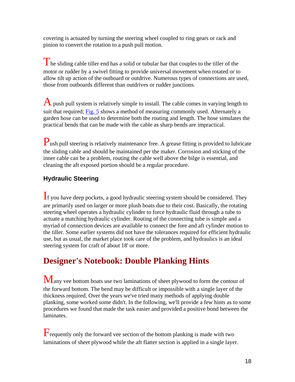covering is actuated by turning the steering wheel coupled to ring gears or rack and pinion to convert the rotation to a push pull motion.

The sliding cable tiller end has a solid or tubular bar that couples to the tiller of the motor or rudder by a swivel fitting to provide universal movement when rotated or to allow tilt up action of the outboard or outdrive. Numerous types of connections are used, those from outboards different than outdrives or rudder junctions.

 $\overline{A}$  push pull system is relatively simple to install. The cable comes in varying length to suit that required; [Fig. 5](http://www.glen-l.com/weblettr/webletters-3/wl26-fig5.html) shows a method of measuring commonly used. Alternately a garden hose can be used to determine both the routing and length. The hose simulates the practical bends that can be made with the cable as sharp bends are impractical.

Push pull steering is relatively maintenance free. A grease fitting is provided to lubricate the sliding cable and should be maintained per the maker. Corrosion and sticking of the inner cable can be a problem, routing the cable well above the bilge is essential, and cleaning the aft exposed portion should be a regular procedure.

# **Hydraulic Steering**

If you have deep pockets, a good hydraulic steering system should be considered. They are primarily used on larger or more plush boats due to their cost. Basically, the rotating steering wheel operates a hydraulic cylinder to force hydraulic fluid through a tube to actuate a matching hydraulic cylinder. Routing of the connecting tube is simple and a myriad of connection devices are available to connect the fore and aft cylinder motion to the tiller. Some earlier systems did not have the tolerances required for efficient hydraulic use, but as usual, the market place took care of the problem, and hydraulics is an ideal steering system for craft of about 18' or more.

# **Designer's Notebook: Double Planking Hints**

Many vee bottom boats use two laminations of sheet plywood to form the contour of the forward bottom. The bend may be difficult or impossible with a single layer of the thickness required. Over the years we've tried many methods of applying double planking, some worked some didn't. In the following, we'll provide a few hints as to some procedures we found that made the task easier and provided a positive bond between the laminates.

Frequently only the forward vee section of the bottom planking is made with two laminations of sheet plywood while the aft flatter section is applied in a single layer.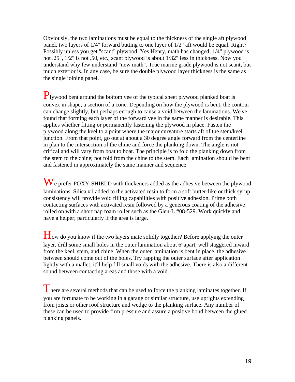Obviously, the two laminations must be equal to the thickness of the single aft plywood panel, two layers of 1/4" forward butting to one layer of 1/2" aft would be equal. Right? Possibly unless you get "scant" plywood. Yes Henry, math has changed; 1/4" plywood is not .25", 1/2" is not .50, etc., scant plywood is about 1/32" less in thickness. Now you understand why few understand "new math". True marine grade plywood is not scant, but much exterior is. In any case, be sure the double plywood layer thickness is the same as the single joining panel.

Plywood bent around the bottom vee of the typical sheet plywood planked boat is convex in shape, a section of a cone. Depending on how the plywood is bent, the contour can change slightly, but perhaps enough to cause a void between the laminations. We've found that forming each layer of the forward vee in the same manner is desirable. This applies whether fitting or permanently fastening the plywood in place. Fasten the plywood along the keel to a point where the major curvature starts aft of the stem/keel junction. From that point, go out at about a 30 degree angle forward from the centerline in plan to the intersection of the chine and force the planking down. The angle is not critical and will vary from boat to boat. The principle is to fold the planking down from the stem to the chine; not fold from the chine to the stem. Each lamination should be bent and fastened in approximately the same manner and sequence.

We prefer POXY-SHIELD with thickeners added as the adhesive between the plywood laminations. Silica #1 added to the activated resin to form a soft butter-like or thick syrup consistency will provide void filling capabilities with positive adhesion. Prime both contacting surfaces with activated resin followed by a generous coating of the adhesive rolled on with a short nap foam roller such as the Glen-L #08-529. Work quickly and have a helper; particularly if the area is large.

How do you know if the two layers mate solidly together? Before applying the outer layer, drill some small holes in the outer lamination about 6' apart, well staggered inward from the keel, stem, and chine. When the outer lamination is bent in place, the adhesive between should come out of the holes. Try rapping the outer surface after application lightly with a mallet, it'll help fill small voids with the adhesive. There is also a different sound between contacting areas and those with a void.

There are several methods that can be used to force the planking laminates together. If you are fortunate to be working in a garage or similar structure, use uprights extending from joists or other roof structure and wedge to the planking surface. Any number of these can be used to provide firm pressure and assure a positive bond between the glued planking panels.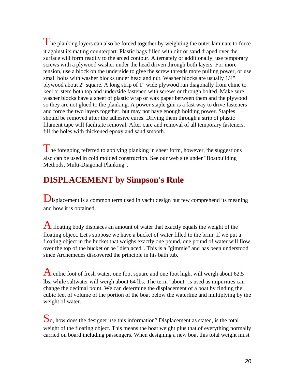The planking layers can also be forced together by weighting the outer laminate to force it against its mating counterpart. Plastic bags filled with dirt or sand draped over the surface will form readily to the arced contour. Alternately or additionally, use temporary screws with a plywood washer under the head driven through both layers. For more tension, use a block on the underside to give the screw threads more pulling power, or use small bolts with washer blocks under head and nut. Washer blocks are usually 1/4" plywood about 2" square. A long strip of 1" wide plywood run diagonally from chine to keel or stem both top and underside fastened with screws or through bolted. Make sure washer blocks have a sheet of plastic wrap or wax paper between them and the plywood so they are not glued to the planking. A power staple gun is a fast way to drive fasteners and force the two layers together, but may not have enough holding power. Staples should be removed after the adhesive cures. Driving them through a strip of plastic filament tape will facilitate removal. After cure and removal of all temporary fasteners, fill the holes with thickened epoxy and sand smooth.

 $\Gamma$  he foregoing referred to applying planking in sheet form, however, the suggestions also can be used in cold molded construction. See our web site under "Boatbuilding Methods, Multi-Diagonal Planking".

# **DISPLACEMENT by Simpson's Rule**

 $\mathbf{D}_{\text{isplacement}}$  is a common term used in yacht design but few comprehend its meaning and how it is obtained.

A floating body displaces an amount of water that exactly equals the weight of the floating object. Let's suppose we have a bucket of water filled to the brim. If we put a floating object in the bucket that weighs exactly one pound, one pound of water will flow over the top of the bucket or be "displaced". This is a "gimmie" and has been understood since Archemedes discovered the principle in his bath tub.

A cubic foot of fresh water, one foot square and one foot high, will weigh about 62.5 lbs. while saltwater will weigh about 64 lbs. The term "about" is used as impurities can change the decimal point. We can determine the displacement of a boat by finding the cubic feet of volume of the portion of the boat below the waterline and multiplying by the weight of water.

So, how does the designer use this information? Displacement as stated, is the total weight of the floating object. This means the boat weight plus that of everything normally carried on board including passengers. When designing a new boat this total weight must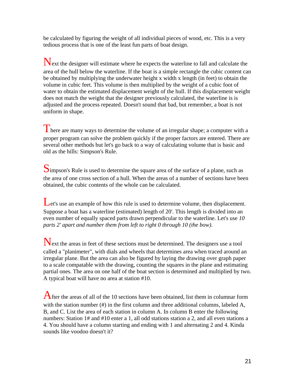be calculated by figuring the weight of all individual pieces of wood, etc. This is a very tedious process that is one of the least fun parts of boat design.

Next the designer will estimate where he expects the waterline to fall and calculate the area of the hull below the waterline. If the boat is a simple rectangle the cubic content can be obtained by multiplying the underwater height x width x length (in feet) to obtain the volume in cubic feet. This volume is then multiplied by the weight of a cubic foot of water to obtain the estimated displacement weight of the hull. If this displacement weight does not match the weight that the designer previously calculated, the waterline is is adjusted and the process repeated. Doesn't sound that bad, but remember, a boat is not uniform in shape.

There are many ways to determine the volume of an irregular shape; a computer with a proper program can solve the problem quickly if the proper factors are entered. There are several other methods but let's go back to a way of calculating volume that is basic and old as the hills: Simpson's Rule.

Simpson's Rule is used to determine the square area of the surface of a plane, such as the area of one cross section of a hull. When the areas of a number of sections have been obtained, the cubic contents of the whole can be calculated.

Let's use an example of how this rule is used to determine volume, then displacement. Suppose a boat has a waterline (estimated) length of 20'. This length is divided into an even number of equally spaced parts drawn perpendicular to the waterline. Let's use *10 parts 2' apart and number them from left to right 0 through 10 (the bow)*.

Next the areas in feet of these sections must be determined. The designers use a tool called a "planimeter", with dials and wheels that determines area when traced around an irregular plane. But the area can also be figured by laying the drawing over graph paper to a scale compatable with the drawing, counting the squares in the plane and estimating partial ones. The area on one half of the boat section is determined and multiplied by two. A typical boat will have no area at station #10.

After the areas of all of the 10 sections have been obtained, list them in columnar form with the station number (#) in the first column and three additional columns, labeled A, B, and C. List the area of each station in column A. In column B enter the following numbers: Station 1# and #10 enter a 1, all odd stations station a 2, and all even stations a 4. You should have a column starting and ending with 1 and alternating 2 and 4. Kinda sounds like voodoo doesn't it?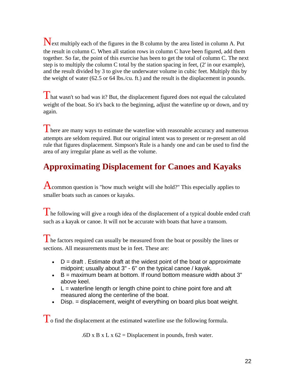Next multiply each of the figures in the B column by the area listed in column A. Put the result in column C. When all station rows in column C have been figured, add them together. So far, the point of this exercise has been to get the total of column C. The next step is to multiply the column C total by the station spacing in feet, (2' in our example), and the result divided by 3 to give the underwater volume in cubic feet. Multiply this by the weight of water (62.5 or 64 lbs./cu. ft.) and the result is the displacement in pounds.

 $\int$  hat wasn't so bad was it? But, the displacement figured does not equal the calculated weight of the boat. So it's back to the beginning, adjust the waterline up or down, and try again.

There are many ways to estimate the waterline with reasonable accuracy and numerous attempts are seldom required. But our original intent was to present or re-present an old rule that figures displacement. Simpson's Rule is a handy one and can be used to find the area of any irregular plane as well as the volume.

# **Approximating Displacement for Canoes and Kayaks**

**A** common question is "how much weight will she hold?" This especially applies to smaller boats such as canoes or kayaks.

 $\Gamma$  he following will give a rough idea of the displacement of a typical double ended craft such as a kayak or canoe. It will not be accurate with boats that have a transom.

 $\Gamma$  he factors required can usually be measured from the boat or possibly the lines or sections. All measurements must be in feet. These are:

- $\bullet$  D = draft. Estimate draft at the widest point of the boat or approximate midpoint; usually about 3" - 6" on the typical canoe / kayak.
- $\bullet$  B = maximum beam at bottom. If round bottom measure width about 3" above keel.
- $\bullet$  L = waterline length or length chine point to chine point fore and aft measured along the centerline of the boat.
- Disp. = displacement, weight of everything on board plus boat weight.

To find the displacement at the estimated waterline use the following formula.

.6D x B x L x  $62$  = Displacement in pounds, fresh water.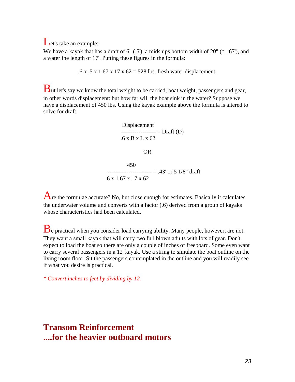Let's take an example:

We have a kayak that has a draft of  $6"$  (.5'), a midships bottom width of  $20"$  ( $*1.67'$ ), and a waterline length of 17'. Putting these figures in the formula:

.6 x .5 x 1.67 x 17 x 62 = 528 lbs. fresh water displacement.

 $\mathbf B$ ut let's say we know the total weight to be carried, boat weight, passengers and gear, in other words displacement: but how far will the boat sink in the water? Suppose we have a displacement of 450 lbs. Using the kayak example above the formula is altered to solve for draft.

> Displacement  $-- --- - - - - - - - = Draff (D)$ .6 x B x L x 62 OR 450  $--------- = .43'$  or 5 1/8" draft

```
.6 x 1.67 x 17 x 62
```
Are the formulae accurate? No, but close enough for estimates. Basically it calculates the underwater volume and converts with a factor (.6) derived from a group of kayaks whose characteristics had been calculated.

Be practical when you consider load carrying ability. Many people, however, are not. They want a small kayak that will carry two full blown adults with lots of gear. Don't expect to load the boat so there are only a couple of inches of freeboard. Some even want to carry several passengers in a 12' kayak. Use a string to simulate the boat outline on the living room floor. Sit the passengers contemplated in the outline and you will readily see if what you desire is practical.

*\* Convert inches to feet by dividing by 12.* 

# **Transom Reinforcement ....for the heavier outboard motors**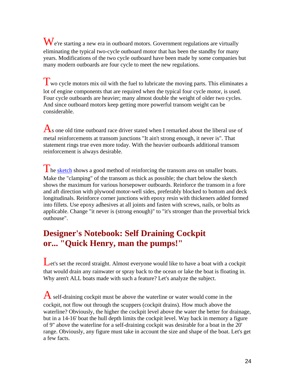$\mathbf{W}_{\text{e}}$ 're starting a new era in outboard motors. Government regulations are virtually eliminating the typical two-cycle outboard motor that has been the standby for many years. Modifications of the two cycle outboard have been made by some companies but many modern outboards are four cycle to meet the new regulations.

Two cycle motors mix oil with the fuel to lubricate the moving parts. This eliminates a lot of engine components that are required when the typical four cycle motor, is used. Four cycle outboards are heavier; many almost double the weight of older two cycles. And since outboard motors keep getting more powerful transom weight can be considerable.

 $\bf{A}$ s one old time outboard race driver stated when I remarked about the liberal use of metal reinforcements at transom junctions "It ain't strong enough, it never is". That statement rings true even more today. With the heavier outboards additional transom reinforcement is always desirable.

 $\Gamma$  he [sketch](http://www.glen-l.com/weblettr/webletters-3/wl30-motorwell.html) shows a good method of reinforcing the transom area on smaller boats. Make the "clamping" of the transom as thick as possible; the chart below the sketch shows the maximum for various horsepower outboards. Reinforce the transom in a fore and aft direction with plywood motor-well sides, preferably blocked to bottom and deck longitudinals. Reinforce corner junctions with epoxy resin with thickeners added formed into fillets. Use epoxy adhesives at all joints and fasten with screws, nails, or bolts as applicable. Change "it never is (strong enough)" to "it's stronger than the proverbial brick outhouse".

# **Designer's Notebook: Self Draining Cockpit or... "Quick Henry, man the pumps!"**

Let's set the record straight. Almost everyone would like to have a boat with a cockpit that would drain any rainwater or spray back to the ocean or lake the boat is floating in. Why aren't ALL boats made with such a feature? Let's analyze the subject.

 $\overline{A}$  self-draining cockpit must be above the waterline or water would come in the cockpit, not flow out through the scuppers (cockpit drains). How much above the waterline? Obviously, the higher the cockpit level above the water the better for drainage, but in a 14-16' boat the hull depth limits the cockpit level. Way back in memory a figure of 9" above the waterline for a self-draining cockpit was desirable for a boat in the 20' range. Obviously, any figure must take in account the size and shape of the boat. Let's get a few facts.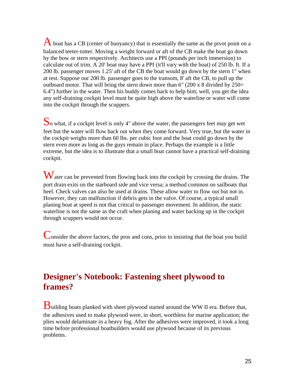A boat has a CB (center of buoyancy) that is essentially the same as the pivot point on a balanced teeter-totter. Moving a weight forward or aft of the CB make the boat go down by the bow or stern respectively. Architects use a PPI (pounds per inch immersion) to calculate out of trim. A 20' boat may have a PPI (it'll vary with the boat) of 250 lb. ft. If a 200 lb. passenger moves 1.25' aft of the CB the boat would go down by the stern 1" when at rest. Suppose our 200 lb. passenger goes to the transom, 8' aft the CB, to pull up the outboard motor. That will bring the stern down more than  $6''$  (200 x 8 divided by 250= 6.4") further in the water. Then his buddy comes back to help him; well, you get the idea any self-draining cockpit level must be quite high above the waterline or water will come into the cockpit through the scuppers.

So what, if a cockpit level is only 4" above the water, the passengers feet may get wet feet but the water will flow back out when they come forward. Very true, but the water in the cockpit weighs more than 60 lbs. per cubic foot and the boat could go down by the stern even more as long as the guys remain in place. Perhaps the example is a little extreme, but the idea is to illustrate that a small boat cannot have a practical self-draining cockpit.

Water can be prevented from flowing back into the cockpit by crossing the drains. The port drain exits on the starboard side and vice versa; a method common on sailboats that heel. Check valves can also be used at drains. These allow water to flow out but not in. However, they can malfunction if debris gets in the valve. Of course, a typical small planing boat at speed is not that critical to passenger movement. In addition, the static waterline is not the same as the craft when planing and water backing up in the cockpit through scuppers would not occur.

Consider the above factors, the pros and cons, prior to insisting that the boat you build must have a self-draining cockpit.

# **Designer's Notebook: Fastening sheet plywood to frames?**

Building boats planked with sheet plywood started around the WW II era. Before that, the adhesives used to make plywood were, in short, worthless for marine application; the plies would delaminate in a heavy fog. After the adhesives were improved, it took a long time before professional boatbuilders would use plywood because of its previous problems.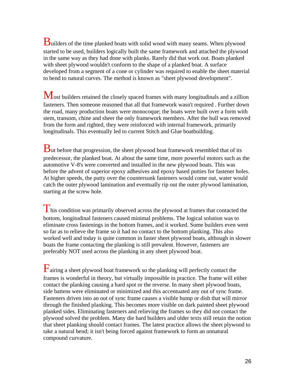$B$ uilders of the time planked boats with solid wood with many seams. When plywood started to be used, builders logically built the same framework and attached the plywood in the same way as they had done with planks. Rarely did that work out. Boats planked with sheet plywood wouldn't conform to the shape of a planked boat. A surface developed from a segment of a cone or cylinder was required to enable the sheet material to bend to natural curves. The method is known as "sheet plywood development".

Most builders retained the closely spaced frames with many longitudinals and a zillion fasteners. Then someone reasoned that all that framework wasn't required . Further down the road, many production boats were monocoque; the boats were built over a form with stem, transom, chine and sheer the only framework members. After the hull was removed from the form and righted, they were reinforced with internal framework, primarily longitudinals. This eventually led to current Stitch and Glue boatbuilding.

**B**ut before that progression, the sheet plywood boat framework resembled that of its predecessor, the planked boat. At about the same time, more powerful motors such as the automotive V-8's were converted and installed in the new plywood boats. This was before the advent of superior epoxy adhesives and epoxy based putties for fastener holes. At higher speeds, the putty over the countersunk fasteners would come out, water would catch the outer plywood lamination and eventually rip out the outer plywood lamination, starting at the screw hole.

 $\Gamma$  his condition was primarily observed across the plywood at frames that contacted the bottom, longitudinal fasteners caused minimal problems. The logical solution was to eliminate cross fastenings in the bottom frames, and it worked. Some builders even went so far as to relieve the frame so it had no contact to the bottom planking. This also worked well and today is quite common in faster sheet plywood boats, although in slower boats the frame contacting the planking is still prevalent. However, fasteners are preferably NOT used across the planking in any sheet plywood boat.

 $F_{\text{airing a sheet}$  sheet plywood boat framework so the planking will perfectly contact the frames is wonderful in theory, but virtually impossible in practice. The frame will either contact the planking causing a hard spot or the reverse. In many sheet plywood boats, side battens were eliminated or minimized and this accentuated any out of sync frame. Fasteners driven into an out of sync frame causes a visible bump or dish that will mirror through the finished planking. This becomes more visible on dark painted sheet plywood planked sides. Eliminating fasteners and relieving the frames so they did not contact the plywood solved the problem. Many die hard builders and older texts still retain the notion that sheet planking should contact frames. The latest practice allows the sheet plywood to take a natural bend; it isn't being forced against framework to form an unnatural compound curvature.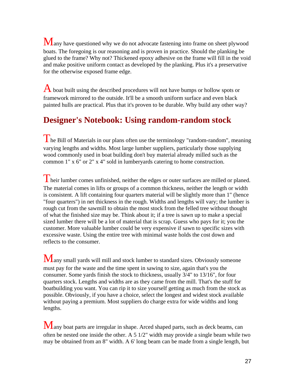Many have questioned why we do not advocate fastening into frame on sheet plywood boats. The foregoing is our reasoning and is proven in practice. Should the planking be glued to the frame? Why not? Thickened epoxy adhesive on the frame will fill in the void and make positive uniform contact as developed by the planking. Plus it's a preservative for the otherwise exposed frame edge.

A boat built using the described procedures will not have bumps or hollow spots or framework mirrored to the outside. It'll be a smooth uniform surface and even black painted hulls are practical. Plus that it's proven to be durable. Why build any other way?

# **Designer's Notebook: Using random-random stock**

The Bill of Materials in our plans often use the terminology "random-random", meaning varying lengths and widths. Most large lumber suppliers, particularly those supplying wood commonly used in boat building don't buy material already milled such as the common 1" x 6" or 2" x 4" sold in lumberyards catering to home construction.

 $\overline{1}$  heir lumber comes unfinished, neither the edges or outer surfaces are milled or planed. The material comes in lifts or groups of a common thickness, neither the length or width is consistent. A lift containing four quarters material will be slightly more than 1" (hence "four quarters") in net thickness in the rough. Widths and lengths will vary; the lumber is rough cut from the sawmill to obtain the most stock from the felled tree without thought of what the finished size may be. Think about it; if a tree is sawn up to make a special sized lumber there will be a lot of material that is scrap. Guess who pays for it; you the customer. More valuable lumber could be very expensive if sawn to specific sizes with excessive waste. Using the entire tree with minimal waste holds the cost down and reflects to the consumer.

Many small yards will mill and stock lumber to standard sizes. Obviously someone must pay for the waste and the time spent in sawing to size, again that's you the consumer. Some yards finish the stock to thickness, usually 3/4" to 13/16", for four quarters stock. Lengths and widths are as they came from the mill. That's the stuff for boatbuilding you want. You can rip it to size yourself getting as much from the stock as possible. Obviously, if you have a choice, select the longest and widest stock available without paying a premium. Most suppliers do charge extra for wide widths and long lengths.

Many boat parts are irregular in shape. Arced shaped parts, such as deck beams, can often be nested one inside the other. A 5 1/2" width may provide a single beam while two may be obtained from an 8" width. A 6' long beam can be made from a single length, but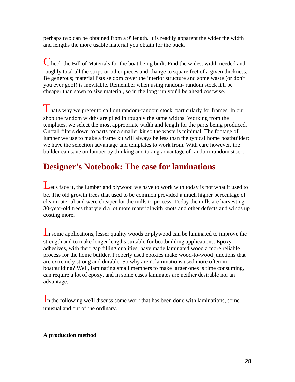perhaps two can be obtained from a 9' length. It is readily apparent the wider the width and lengths the more usable material you obtain for the buck.

Check the Bill of Materials for the boat being built. Find the widest width needed and roughly total all the strips or other pieces and change to square feet of a given thickness. Be generous; material lists seldom cover the interior structure and some waste (or don't you ever goof) is inevitable. Remember when using random- random stock it'll be cheaper than sawn to size material, so in the long run you'll be ahead costwise.

That's why we prefer to call out random-random stock, particularly for frames. In our shop the random widths are piled in roughly the same widths. Working from the templates, we select the most appropriate width and length for the parts being produced. Outfall filters down to parts for a smaller kit so the waste is minimal. The footage of lumber we use to make a frame kit will always be less than the typical home boatbuilder; we have the selection advantage and templates to work from. With care however, the builder can save on lumber by thinking and taking advantage of random-random stock.

# **Designer's Notebook: The case for laminations**

Let's face it, the lumber and plywood we have to work with today is not what it used to be. The old growth trees that used to be common provided a much higher percentage of clear material and were cheaper for the mills to process. Today the mills are harvesting 30-year-old trees that yield a lot more material with knots and other defects and winds up costing more.

In some applications, lesser quality woods or plywood can be laminated to improve the strength and to make longer lengths suitable for boatbuilding applications. Epoxy adhesives, with their gap filling qualities, have made laminated wood a more reliable process for the home builder. Properly used epoxies make wood-to-wood junctions that are extremely strong and durable. So why aren't laminations used more often in boatbuilding? Well, laminating small members to make larger ones is time consuming, can require a lot of epoxy, and in some cases laminates are neither desirable nor an advantage.

In the following we'll discuss some work that has been done with laminations, some unusual and out of the ordinary.

## **A production method**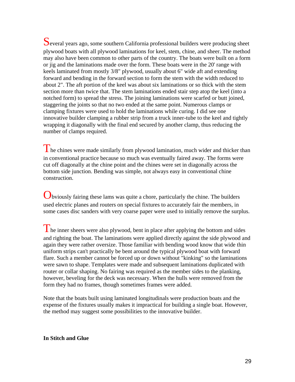Several years ago, some southern California professional builders were producing sheet plywood boats with all plywood laminations for keel, stem, chine, and sheer. The method may also have been common to other parts of the country. The boats were built on a form or jig and the laminations made over the form. These boats were in the 20' range with keels laminated from mostly 3/8" plywood, usually about 6" wide aft and extending forward and bending in the forward section to form the stem with the width reduced to about 2". The aft portion of the keel was about six laminations or so thick with the stem section more than twice that. The stem laminations ended stair step atop the keel (into a notched form) to spread the stress. The joining laminations were scarfed or butt joined, staggering the joints so that no two ended at the same point. Numerous clamps or clamping fixtures were used to hold the laminations while curing. I did see one innovative builder clamping a rubber strip from a truck inner-tube to the keel and tightly wrapping it diagonally with the final end secured by another clamp, thus reducing the number of clamps required.

The chines were made similarly from plywood lamination, much wider and thicker than in conventional practice because so much was eventually faired away. The forms were cut off diagonally at the chine point and the chines were set in diagonally across the bottom side junction. Bending was simple, not always easy in conventional chine construction.

Obviously fairing these lams was quite a chore, particularly the chine. The builders used electric planes and routers on special fixtures to accurately fair the members, in some cases disc sanders with very coarse paper were used to initially remove the surplus.

 $\blacksquare$  he inner sheers were also plywood, bent in place after applying the bottom and sides and righting the boat. The laminations were applied directly against the side plywood and again they were rather oversize. Those familiar with bending wood know that wide thin uniform strips can't practically be bent around the typical plywood boat with forward flare. Such a member cannot be forced up or down without "kinking" so the laminations were sawn to shape. Templates were made and subsequent laminations duplicated with router or collar shaping. No fairing was required as the member sides to the planking, however, beveling for the deck was necessary. When the hulls were removed from the form they had no frames, though sometimes frames were added.

Note that the boats built using laminated longitudinals were production boats and the expense of the fixtures usually makes it impractical for building a single boat. However, the method may suggest some possibilities to the innovative builder.

### **In Stitch and Glue**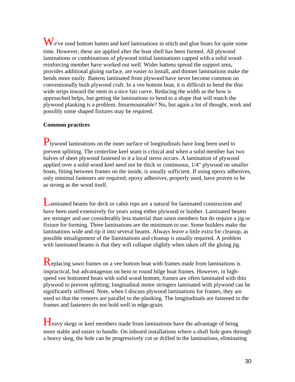We've used bottom batten and keel laminations in stitch and glue boats for quite some time. However, these are applied after the boat shell has been formed. All plywood laminations or combinations of plywood initial laminations capped with a solid woodreinforcing member have worked out well. Wider battens spread the support area, provides additional gluing surface, are easier to install, and thinner laminations make the bends more easily. Battens laminated from plywood have never become common on conventionally built plywood craft. In a vee bottom boat, it is difficult to bend the thin wide strips toward the stem in a nice fair curve. Reducing the width as the bow is approached helps, but getting the laminations to bend to a shape that will match the plywood planking is a problem. Insurmountable? No, but again a lot of thought, work and possibly some shaped fixtures may be required.

## **Common practices**

Plywood laminations on the inner surface of longitudinals have long been used to prevent splitting. The centerline keel seam is critical and when a solid member has two halves of sheet plywood fastened to it a local stress occurs. A lamination of plywood applied over a solid wood keel need not be thick or continuous, 1/4" plywood on smaller boats, fitting between frames on the inside, is usually sufficient. If using epoxy adhesives, only minimal fasteners are required; epoxy adhesives, properly used, have proven to be as strong as the wood itself.

Laminated beams for deck or cabin tops are a natural for laminated construction and have been used extensively for years using either plywood or lumber. Laminated beams are stronger and use considerably less material than sawn members but do require a jig or fixture for forming. Three laminations are the minimum to use. Some builders make the laminations wide and rip it into several beams. Always leave a little extra for cleanup, as possible misalignment of the llaminations and cleanup is usually required. A problem with laminated beams is that they will collapse slightly when taken off the gluing jig.

Replacing sawn frames on a vee bottom boat with frames made from laminations is impractical, but advantageous on bent or round bilge boat frames. However, in highspeed vee bottomed boats with solid wood bottom, frames are often laminated with thin plywood to prevent splitting; longitudinal motor stringers laminated with plywood can be significantly stiffened. Note, when I discuss plywood laminations for frames, they are used so that the veneers are parallel to the planking. The longitudinals are fastened to the frames and fasteners do not hold well in edge-grain.

Heavy skegs or keel members made from laminations have the advantage of being more stable and easier to handle. On inboard installations where a shaft hole goes through a heavy skeg, the hole can be progressively cut or drilled in the laminations, eliminating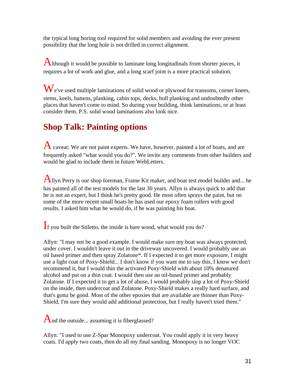the typical long boring tool required for solid members and avoiding the ever present possibility that the long hole is not drilled in correct alignment.

Although it would be possible to laminate long longitudinals from shorter pieces, it requires a lot of work and glue, and a long scarf joint is a more practical solution.

We've used multiple laminations of solid wood or plywood for transoms, corner knees, stems, keels, battens, planking, cabin tops, decks, hull planking and undoubtedly other places that haven't come to mind. So during your building, think laminations, or at least consider them. P.S. solid wood laminations also look nice.

# **Shop Talk: Painting options**

A caveat: We are not paint experts. We have, however, painted a lot of boats, and are frequently asked "what would you do?". We invite any comments from other builders and would be glad to include them in future WebLetters.

Allyn Perry is our shop foreman, Frame Kit maker, and boat test model builder and... he has painted all of the test models for the last 30 years. Allyn is always quick to add that he is not an expert, but I think he's pretty good. He most often sprays the paint, but on some of the more recent small boats he has used our epoxy foam rollers with good results. I asked him what he would do, if he was painting his boat.

If you built the Stiletto, the inside is bare wood, what would you do?

Allyn: "I may not be a good example. I would make sure my boat was always protected, under cover. I wouldn't leave it out in the driveway uncovered. I would probably use an oil based primer and then spray Zolatone\*. If I expected it to get more exposure, I might use a light coat of Poxy-Shield... I don't know if you want me to say this, I know we don't recommend it, but I would thin the activated Poxy-Shield with about 10% denatured alcohol and put on a thin coat. I would then use an oil-based primer and probably Zolatone. If I expected it to get a lot of abuse, I would probably slop a lot of Poxy-Shield on the inside, then undercoat and Zolatone. Poxy-Shield makes a really hard surface, and that's gotta be good. Most of the other epoxies that are available are thinner than Poxy-Shield, I'm sure they would add additional protection, but I really haven't tried them."

And the outside... assuming it is fiberglassed?

Allyn: "I used to use Z-Spar Monopoxy undercoat. You could apply it in very heavy coats. I'd apply two coats, then do all my final sanding. Monopoxy is no longer VOC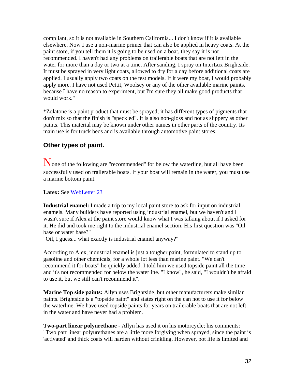compliant, so it is not available in Southern California... I don't know if it is available elsewhere. Now I use a non-marine primer that can also be applied in heavy coats. At the paint store, if you tell them it is going to be used on a boat, they say it is not recommended. I haven't had any problems on trailerable boats that are not left in the water for more than a day or two at a time. After sanding, I spray on InterLux Brightside. It must be sprayed in very light coats, allowed to dry for a day before additional coats are applied. I usually apply two coats on the test models. If it were my boat, I would probably apply more. I have not used Pettit, Woolsey or any of the other available marine paints, because I have no reason to experiment, but I'm sure they all make good products that would work."

\*Zolatone is a paint product that must be sprayed; it has different types of pigments that don't mix so that the finish is "speckled". It is also non-gloss and not as slippery as other paints. This material may be known under other names in other parts of the country. Its main use is for truck beds and is available through automotive paint stores.

## **Other types of paint.**

None of the following are "recommended" for below the waterline, but all have been successfully used on trailerable boats. If your boat will remain in the water, you must use a marine bottom paint.

**Latex:** See WebLetter 23

**Industrial enamel:** I made a trip to my local paint store to ask for input on industrial enamels. Many builders have reported using industrial enamel, but we haven't and I wasn't sure if Alex at the paint store would know what I was talking about if I asked for it. He did and took me right to the industrial enamel section. His first question was "Oil base or water base?"

"Oil, I guess... what exactly is industrial enamel anyway?"

According to Alex, industrial enamel is just a tougher paint, formulated to stand up to gasoline and other chemicals, for a whole lot less than marine paint. "We can't recommend it for boats" he quickly added. I told him we used topside paint all the time and it's not recommended for below the waterline. "I know", he said, "I wouldn't be afraid to use it, but we still can't recommend it".

**Marine Top side paints:** Allyn uses Brightside, but other manufacturers make similar paints. Brightside is a "topside paint" and states right on the can not to use it for below the waterline. We have used topside paints for years on trailerable boats that are not left in the water and have never had a problem.

**Two-part linear polyurethane** - Allyn has used it on his motorcycle; his comments: "Two part linear polyurethanes are a little more forgiving when sprayed, since the paint is 'activated' and thick coats will harden without crinkling. However, pot life is limited and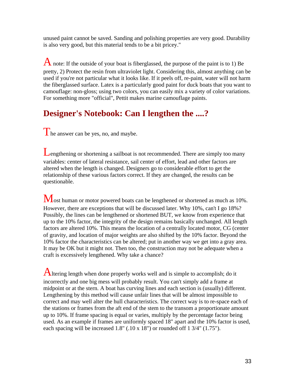unused paint cannot be saved. Sanding and polishing properties are very good. Durability is also very good, but this material tends to be a bit pricey."

A note: If the outside of your boat is fiberglassed, the purpose of the paint is to 1) Be pretty, 2) Protect the resin from ultraviolet light. Considering this, almost anything can be used if you're not particular what it looks like. If it peels off, re-paint, water will not harm the fiberglassed surface. Latex is a particularly good paint for duck boats that you want to camouflage: non-gloss; using two colors, you can easily mix a variety of color variations. For something more "official", Pettit makes marine camouflage paints.

# **Designer's Notebook: Can I lengthen the ....?**

The answer can be yes, no, and maybe.

Lengthening or shortening a sailboat is not recommended. There are simply too many variables: center of lateral resistance, sail center of effort, lead and other factors are altered when the length is changed. Designers go to considerable effort to get the relationship of these various factors correct. If they are changed, the results can be questionable.

Most human or motor powered boats can be lengthened or shortened as much as 10%. However, there are exceptions that will be discussed later. Why 10%, can't I go 18%? Possibly, the lines can be lengthened or shortened BUT, we know from experience that up to the 10% factor, the integrity of the design remains basically unchanged. All length factors are altered 10%. This means the location of a centrally located motor, CG (center of gravity, and location of major weights are also shifted by the 10% factor. Beyond the 10% factor the characteristics can be altered; put in another way we get into a gray area. It may be OK but it might not. Then too, the construction may not be adequate when a craft is excessively lengthened. Why take a chance?

Altering length when done properly works well and is simple to accomplish; do it incorrectly and one big mess will probably result. You can't simply add a frame at midpoint or at the stern. A boat has curving lines and each section is (usually) different. Lengthening by this method will cause unfair lines that will be almost impossible to correct and may well alter the hull characteristics. The correct way is to re-space each of the stations or frames from the aft end of the stem to the transom a proportionate amount up to 10%. If frame spacing is equal or varies, multiply by the percentage factor being used. As an example if frames are uniformly spaced 18" apart and the 10% factor is used, each spacing will be increased 1.8" (.10 x 18") or rounded off 1 3/4" (1.75").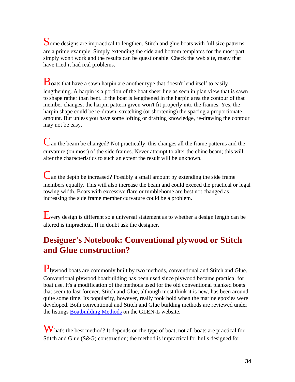Some designs are impractical to lengthen. Stitch and glue boats with full size patterns are a prime example. Simply extending the side and bottom templates for the most part simply won't work and the results can be questionable. Check the web site, many that have tried it had real problems.

 $\bf{B}$  oats that have a sawn harpin are another type that doesn't lend itself to easily lengthening. A harpin is a portion of the boat sheer line as seen in plan view that is sawn to shape rather than bent. If the boat is lengthened in the harpin area the contour of that member changes; the harpin pattern given won't fit properly into the frames. Yes, the harpin shape could be re-drawn, stretching (or shortening) the spacing a proportionate amount. But unless you have some lofting or drafting knowledge, re-drawing the contour may not be easy.

Can the beam be changed? Not practically, this changes all the frame patterns and the curvature (on most) of the side frames. Never attempt to alter the chine beam; this will alter the characteristics to such an extent the result will be unknown.

Can the depth be increased? Possibly a small amount by extending the side frame members equally. This will also increase the beam and could exceed the practical or legal towing width. Boats with excessive flare or tumblehome are best not changed as increasing the side frame member curvature could be a problem.

Every design is different so a universal statement as to whether a design length can be altered is impractical. If in doubt ask the designer.

# **Designer's Notebook: Conventional plywood or Stitch and Glue construction?**

Plywood boats are commonly built by two methods, conventional and Stitch and Glue. Conventional plywood boatbuilding has been used since plywood became practical for boat use. It's a modification of the methods used for the old conventional planked boats that seem to last forever. Stitch and Glue, although most think it is new, has been around quite some time. Its popularity, however, really took hold when the marine epoxies were developed. Both conventional and Stitch and Glue building methods are reviewed under the listings [Boatbuilding Methods](http://www.glen-l.com/methods/methdpw.html) on the GLEN-L website.

W hat's the best method? It depends on the type of boat, not all boats are practical for Stitch and Glue  $(S&G)$  construction; the method is impractical for hulls designed for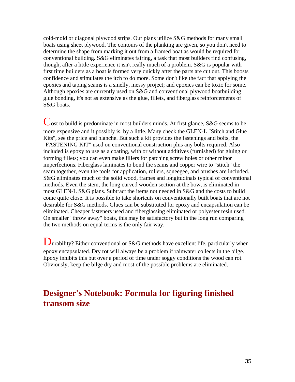cold-mold or diagonal plywood strips. Our plans utilize S&G methods for many small boats using sheet plywood. The contours of the planking are given, so you don't need to determine the shape from marking it out from a framed boat as would be required for conventional building. S&G eliminates fairing, a task that most builders find confusing, though, after a little experience it isn't really much of a problem. S&G is popular with first time builders as a boat is formed very quickly after the parts are cut out. This boosts confidence and stimulates the itch to do more. Some don't like the fact that applying the epoxies and taping seams is a smelly, messy project; and epoxies can be toxic for some. Although epoxies are currently used on S&G and conventional plywood boatbuilding glue bonding, it's not as extensive as the glue, fillets, and fiberglass reinforcements of S&G boats.

Cost to build is predominate in most builders minds. At first glance, S&G seems to be more expensive and it possibly is, by a little. Many check the GLEN-L "Stitch and Glue Kits", see the price and blanche. But such a kit provides the fastenings and bolts, the "FASTENING KIT" used on conventional construction plus any bolts required. Also included is epoxy to use as a coating, with or without additives (furnished) for gluing or forming fillets; you can even make fillers for patching screw holes or other minor imperfections. Fiberglass laminates to bond the seams and copper wire to "stitch" the seam together, even the tools for application, rollers, squeegee, and brushes are included. S&G eliminates much of the solid wood, frames and longitudinals typical of conventional methods. Even the stem, the long curved wooden section at the bow, is eliminated in most GLEN-L S&G plans. Subtract the items not needed in S&G and the costs to build come quite close. It is possible to take shortcuts on conventionally built boats that are not desirable for S&G methods. Glues can be substituted for epoxy and encapsulation can be eliminated. Cheaper fasteners used and fiberglassing eliminated or polyester resin used. On smaller "throw away" boats, this may be satisfactory but in the long run comparing the two methods on equal terms is the only fair way.

Durability? Either conventional or S&G methods have excellent life, particularly when epoxy encapsulated. Dry rot will always be a problem if rainwater collects in the bilge. Epoxy inhibits this but over a period of time under soggy conditions the wood can rot. Obviously, keep the bilge dry and most of the possible problems are eliminated.

# **Designer's Notebook: Formula for figuring finished transom size**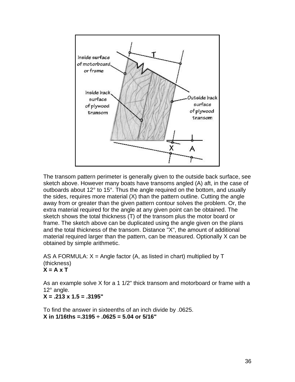

The transom pattern perimeter is generally given to the outside back surface, see sketch above. However many boats have transoms angled (A) aft, in the case of outboards about 12° to 15°. Thus the angle required on the bottom, and usually the sides, requires more material (X) than the pattern outline. Cutting the angle away from or greater than the given pattern contour solves the problem. Or, the extra material required for the angle at any given point can be obtained. The sketch shows the total thickness (T) of the transom plus the motor board or frame. The sketch above can be duplicated using the angle given on the plans and the total thickness of the transom. Distance "X", the amount of additional material required larger than the pattern, can be measured. Optionally X can be obtained by simple arithmetic.

AS A FORMULA:  $X =$  Angle factor (A, as listed in chart) multiplied by T (thickness) **X = A x T**

As an example solve X for a 1 1/2" thick transom and motorboard or frame with a 12° angle.

**X = .213 x 1.5 = .3195"**

To find the answer in sixteenths of an inch divide by .0625. **X in 1/16ths =.3195 ÷ .0625 = 5.04 or 5/16"**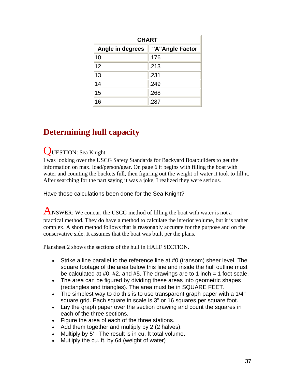| <b>CHART</b>     |                 |
|------------------|-----------------|
| Angle in degrees | "A"Angle Factor |
| 10               | .176            |
| 12               | .213            |
| 13               | .231            |
| 14               | .249            |
| 15               | .268            |
| 16               | .287            |

## **Determining hull capacity**

#### QUESTION: Sea Knight

I was looking over the USCG Safety Standards for Backyard Boatbuilders to get the information on max. load/person/gear. On page 6 it begins with filling the boat with water and counting the buckets full, then figuring out the weight of water it took to fill it. After searching for the part saying it was a joke, I realized they were serious.

Have those calculations been done for the Sea Knight?

ANSWER: We concur, the USCG method of filling the boat with water is not a practical method. They do have a method to calculate the interior volume, but it is rather complex. A short method follows that is reasonably accurate for the purpose and on the conservative side. It assumes that the boat was built per the plans.

Plansheet 2 shows the sections of the hull in HALF SECTION.

- Strike a line parallel to the reference line at #0 (transom) sheer level. The square footage of the area below this line and inside the hull outline must be calculated at #0, #2, and #5. The drawings are to 1 inch = 1 foot scale.
- The area can be figured by dividing these areas into geometric shapes (rectangles and triangles). The area must be in SQUARE FEET.
- The simplest way to do this is to use transparent graph paper with a 1/4" square grid. Each square in scale is 3" or 16 squares per square foot.
- Lay the graph paper over the section drawing and count the squares in each of the three sections.
- Figure the area of each of the three stations.
- Add them together and multiply by 2 (2 halves).
- Multiply by 5' The result is in cu. ft total volume.
- Mutliply the cu. ft. by 64 (weight of water)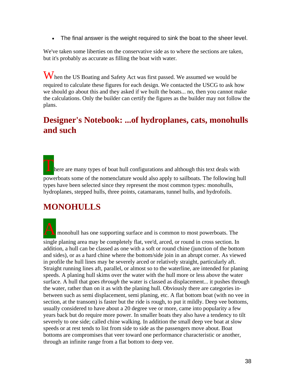• The final answer is the weight required to sink the boat to the sheer level.

We've taken some liberties on the conservative side as to where the sections are taken, but it's probably as accurate as filling the boat with water.

When the US Boating and Safety Act was first passed. We assumed we would be required to calculate these figures for each design. We contacted the USCG to ask how we should go about this and they asked if we built the boats... no, then you cannot make the calculations. Only the builder can certify the figures as the builder may not follow the plans.

## **Designer's Notebook: ...of hydroplanes, cats, monohulls and such**

here are many types of boat hull configurations and although this text deals with powerboats some of the nomenclature would also apply to sailboats. The following hull types have been selected since they represent the most common types: monohulls, hydroplanes, stepped hulls, three points, catamarans, tunnel hulls, and hydrofoils.

## **MONOHULLS**

**A** monohull has one supporting surface and is common to most powerboats. The

single planing area may be completely flat, vee'd, arced, or round in cross section. In addition, a hull can be classed as one with a soft or round chine (junction of the bottom and sides), or as a hard chine where the bottom/side join in an abrupt corner. As viewed in profile the hull lines may be severely arced or relatively straight, particularly aft. Straight running lines aft, parallel, or almost so to the waterline, are intended for planing speeds. A planing hull skims over the water with the hull more or less above the water surface. A hull that goes *through* the water is classed as displacement... it pushes through the water, rather than on it as with the planing hull. Obviously there are categories inbetween such as semi displacement, semi planing, etc. A flat bottom boat (with no vee in section, at the transom) is faster but the ride is rough, to put it mildly. Deep vee bottoms, usually considered to have about a 20 degree vee or more, came into popularity a few years back but do require more power. In smaller boats they also have a tendency to tilt severely to one side; called chine walking. In addition the small deep vee boat at slow speeds or at rest tends to list from side to side as the passengers move about. Boat bottoms are compromises that veer toward one performance characteristic or another, through an infinite range from a flat bottom to deep vee.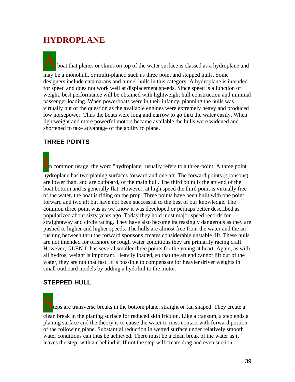## **HYDROPLANE**

boat that planes or skims on top of the water surface is classed as a hydroplane and

may be a monohull, or multi-planed such as three point and stepped hulls. Some designers include catamarans and tunnel hulls in this category. A hydroplane is intended for speed and does not work well at displacement speeds. Since speed is a function of weight, best performance will be obtained with lightweight hull construction and minimal passenger loading. When powerboats were in their infancy, planning the hulls was virtually out of the question as the available engines were extremely heavy and produced low horsepower. Thus the boats were long and narrow to go thru the water easily. When lightweight and more powerful motors became available the hulls were widened and shortened to take advantage of the ability to plane.

#### **THREE POINTS**

In common usage, the word "hydroplane" usually refers to a three-point. A three point

hydroplane has two planing surfaces forward and one aft. The forward points (sponsons) are lower than, and are outboard, of the main hull. The third point is the aft end of the boat bottom and is generally flat. However, at high speed the third point is virtually free of the water, the boat is riding on the prop. Three points have been built with one point forward and two aft but have not been successful to the best of our knowledge. The common three point was as we know it was developed or perhaps better described as popularized about sixty years ago. Today they hold most major speed records for straightaway and circle racing. They have also become increasingly dangerous as they are pushed to higher and higher speeds. The hulls are almost free from the water and the air rushing between thru the forward sponsons creates considerable unstable lift. These hulls are not intended for offshore or rough water conditions they are primarily racing craft. However, GLEN-L has several smaller three points for the young at heart. Again, as with all hydros, weight is important. Heavily loaded, so that the aft end cannot lift out of the water, they are not that fast. It is possible to compensate for heavier driver weights in small outboard models by adding a hydofoil to the motor.

#### **STEPPED HULL**

teps are transverse breaks in the bottom plane, straight or fan shaped. They create a clean break in the planing surface for reduced skin friction. Like a transom, a step ends a planing surface and the theory is to cause the water to miss contact with forward portion of the following plane. Substantial reduction in wetted surface under relatively smooth water conditions can thus be achieved. There must be a clean break of the water as it leaves the step; with air behind it. If not the step will create drag and even suction.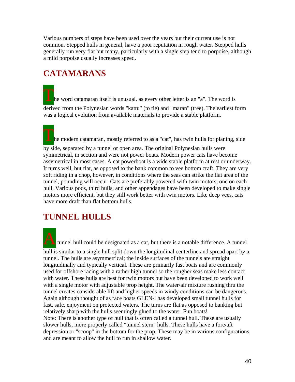Various numbers of steps have been used over the years but their current use is not common. Stepped hulls in general, have a poor reputation in rough water. Stepped hulls generally run very flat but many, particularly with a single step tend to porpoise, although a mild porpoise usually increases speed.

## **CATAMARANS**

he word catamaran itself is unusual, as every other letter is an "a". The word is derived from the Polynesian words "kattu" (to tie) and "maran" (tree). The earliest form was a logical evolution from available materials to provide a stable platform.

 $\blacktriangle$  he modern catamaran, mostly referred to as a "cat", has twin hulls for planing, side by side, separated by a tunnel or open area. The original Polynesian hulls were symmetrical, in section and were not power boats. Modern power cats have become assymetrical in most cases. A cat powerboat is a wide stable platform at rest or underway. It turns well, but flat, as opposed to the bank common to vee bottom craft. They are very soft riding in a chop, however, in conditions where the seas can strike the flat area of the tunnel, pounding will occur. Cats are preferably powered with twin motors, one on each hull. Various pods, third hulls, and other appendages have been developed to make single motors more efficient, but they still work better with twin motors. Like deep vees, cats have more draft than flat bottom hulls.

## **TUNNEL HULLS**

A tunnel hull could be designated as a cat, but there is a notable difference. A tunnel hull is similar to a single hull split down the longitudinal centerline and spread apart by a tunnel. The hulls are asymmetrical; the inside surfaces of the tunnels are straight longitudinally and typically vertical. These are primarily fast boats and are commonly used for offshore racing with a rather high tunnel so the rougher seas make less contact with water. These hulls are best for twin motors but have been developed to work well with a single motor with adjustable prop height. The water/air mixture rushing thru the tunnel creates considerable lift and higher speeds in windy conditions can be dangerous. Again although thought of as race boats GLEN-l has developed small tunnel hulls for fast, safe, enjoyment on protected waters. The turns are flat as opposed to banking but relatively sharp with the hulls seemingly glued to the water. Fun boats! Note: There is another type of hull that is often called a tunnel hull. These are usually slower hulls, more properly called "tunnel stern" hulls. These hulls have a fore/aft depression or "scoop" in the bottom for the prop. These may be in various configurations, and are meant to allow the hull to run in shallow water.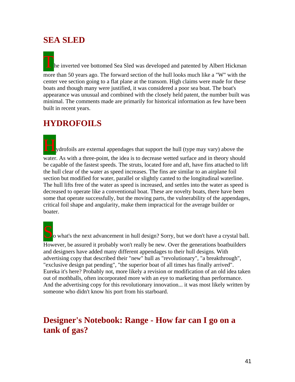#### **SEA SLED**

he inverted vee bottomed Sea Sled was developed and patented by Albert Hickman more than 50 years ago. The forward section of the hull looks much like a "W" with the center vee section going to a flat plane at the transom. High claims were made for these boats and though many were justified, it was considered a poor sea boat. The boat's appearance was unusual and combined with the closely held patent, the number built was minimal. The comments made are primarily for historical information as few have been built in recent years.

### **HYDROFOILS**

Hydrofoils are external appendages that support the hull (type may vary) above the water. As with a three-point, the idea is to decrease wetted surface and in theory should be capable of the fastest speeds. The struts, located fore and aft, have fins attached to lift the hull clear of the water as speed increases. The fins are similar to an airplane foil section but modified for water, parallel or slightly canted to the longitudinal waterline. The hull lifts free of the water as speed is increased, and settles into the water as speed is decreased to operate like a conventional boat. These are novelty boats, there have been some that operate successfully, but the moving parts, the vulnerability of the appendages, critical foil shape and angularity, make them impractical for the average builder or boater.

 $\Box$  o what's the next advancement in hull design? Sorry, but we don't have a crystal ball.

However, be assured it probably won't really be new. Over the generations boatbuilders and designers have added many different appendages to their hull designs. With advertising copy that described their "new" hull as "revolutionary", "a breakthrough", "exclusive design pat pending", "the superior boat of all times has finally arrived". Eureka it's here? Probably not, more likely a revision or modification of an old idea taken out of mothballs, often incorporated more with an eye to marketing than performance. And the advertising copy for this revolutionary innovation... it was most likely written by someone who didn't know his port from his starboard.

### **Designer's Notebook: Range - How far can I go on a tank of gas?**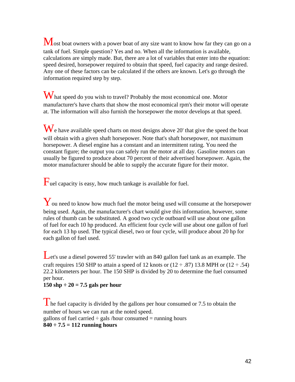Most boat owners with a power boat of any size want to know how far they can go on a tank of fuel. Simple question? Yes and no. When all the information is available, calculations are simply made. But, there are a lot of variables that enter into the equation: speed desired, horsepower required to obtain that speed, fuel capacity and range desired. Any one of these factors can be calculated if the others are known. Let's go through the information required step by step.

What speed do you wish to travel? Probably the most economical one. Motor manufacturer's have charts that show the most economical rpm's their motor will operate at. The information will also furnish the horsepower the motor develops at that speed.

We have available speed charts on most designs above 20' that give the speed the boat will obtain with a given shaft horsepower. Note that's shaft horsepower, not maximum horsepower. A diesel engine has a constant and an intermittent rating. You need the constant figure; the output you can safely run the motor at all day. Gasoline motors can usually be figured to produce about 70 percent of their advertised horsepower. Again, the motor manufacturer should be able to supply the accurate figure for their motor.

 $\Gamma$ uel capacity is easy, how much tankage is available for fuel.

Y ou need to know how much fuel the motor being used will consume at the horsepower being used. Again, the manufacturer's chart would give this information, however, some rules of thumb can be substituted. A good two cycle outboard will use about one gallon of fuel for each 10 hp produced. An efficient four cycle will use about one gallon of fuel for each 13 hp used. The typical diesel, two or four cycle, will produce about 20 hp for each gallon of fuel used.

Let's use a diesel powered 55' trawler with an 840 gallon fuel tank as an example. The craft requires 150 SHP to attain a speed of 12 knots or  $(12 \div .87)$  13.8 MPH or  $(12 \div .54)$ 22.2 kilometers per hour. The 150 SHP is divided by 20 to determine the fuel consumed per hour.

#### **150 shp ÷ 20 = 7.5 gals per hour**

The fuel capacity is divided by the gallons per hour consumed or 7.5 to obtain the number of hours we can run at the noted speed. gallons of fuel carried  $\div$  gals /hour consumed = running hours **840 ÷ 7.5 = 112 running hours**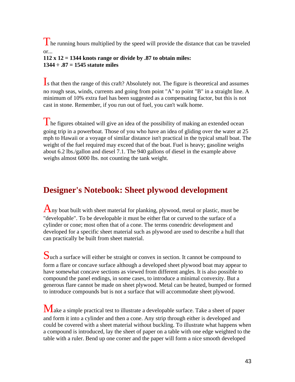The running hours multiplied by the speed will provide the distance that can be traveled or...

#### **112 x 12 = 1344 knots range or divide by .87 to obtain miles: 1344 ÷ .87 = 1545 statute miles**

Is that then the range of this craft? Absolutely not. The figure is theoretical and assumes no rough seas, winds, currents and going from point "A" to point "B" in a straight line. A minimum of 10% extra fuel has been suggested as a compensating factor, but this is not cast in stone. Remember, if you run out of fuel, you can't walk home.

The figures obtained will give an idea of the possibility of making an extended ocean going trip in a powerboat. Those of you who have an idea of gliding over the water at 25 mph to Hawaii or a voyage of similar distance isn't practical in the typical small boat. The weight of the fuel required may exceed that of the boat. Fuel is heavy; gasoline weighs about 6.2 lbs./gallon and diesel 7.1. The 940 gallons of diesel in the example above weighs almost 6000 lbs. not counting the tank weight.

## **Designer's Notebook: Sheet plywood development**

Any boat built with sheet material for planking, plywood, metal or plastic, must be "developable". To be developable it must be either flat or curved to the surface of a cylinder or cone; most often that of a cone. The terms conendric development and developed for a specific sheet material such as plywood are used to describe a hull that can practically be built from sheet material.

Such a surface will either be straight or convex in section. It cannot be compound to form a flare or concave surface although a developed sheet plywood boat may appear to have somewhat concave sections as viewed from different angles. It is also possible to compound the panel endings, in some cases, to introduce a minimal convexity. But a generous flare cannot be made on sheet plywood. Metal can be heated, bumped or formed to introduce compounds but is not a surface that will accommodate sheet plywood.

Make a simple practical test to illustrate a developable surface. Take a sheet of paper and form it into a cylinder and then a cone. Any strip through either is developed and could be covered with a sheet material without buckling. To illustrate what happens when a compound is introduced, lay the sheet of paper on a table with one edge weighted to the table with a ruler. Bend up one corner and the paper will form a nice smooth developed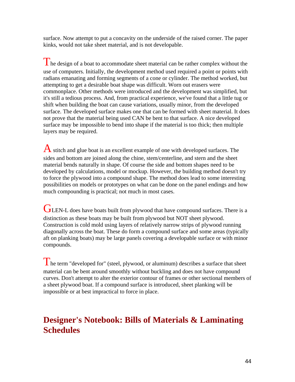surface. Now attempt to put a concavity on the underside of the raised corner. The paper kinks, would not take sheet material, and is not developable.

The design of a boat to accommodate sheet material can be rather complex without the use of computers. Initially, the development method used required a point or points with radians emanating and forming segments of a cone or cylinder. The method worked, but attempting to get a desirable boat shape was difficult. Worn out erasers were commonplace. Other methods were introduced and the development was simplified, but it's still a tedious process. And, from practical experience, we've found that a little tug or shift when building the boat can cause variations, usually minor, from the developed surface. The developed surface makes one that can be formed with sheet material. It does not prove that the material being used CAN be bent to that surface. A nice developed surface may be impossible to bend into shape if the material is too thick; then multiple layers may be required.

A stitch and glue boat is an excellent example of one with developed surfaces. The sides and bottom are joined along the chine, stem/centerline, and stern and the sheet material bends naturally in shape. Of course the side and bottom shapes need to be developed by calculations, model or mockup. However, the building method doesn't try to force the plywood into a compound shape. The method does lead to some interesting possibilities on models or prototypes on what can be done on the panel endings and how much compounding is practical; not much in most cases.

GLEN-L does have boats built from plywood that have compound surfaces. There is a distinction as these boats may be built from plywood but NOT sheet plywood. Construction is cold mold using layers of relatively narrow strips of plywood running diagonally across the boat. These do form a compound surface and some areas (typically aft on planking boats) may be large panels covering a developable surface or with minor compounds.

 $\prod$  he term "developed for" (steel, plywood, or aluminum) describes a surface that sheet material can be bent around smoothly without buckling and does not have compound curves. Don't attempt to alter the exterior contour of frames or other sectional members of a sheet plywood boat. If a compound surface is introduced, sheet planking will be impossible or at best impractical to force in place.

### **Designer's Notebook: Bills of Materials & Laminating Schedules**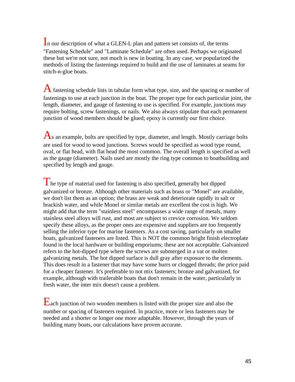In our description of what a GLEN-L plan and pattern set consists of, the terms "Fastening Schedule" and "Laminate Schedule" are often used. Perhaps we originated these but we're not sure, not much is new in boating. In any case, we popularized the methods of listing the fastenings required to build and the use of laminates at seams for stitch-n-glue boats.

A fastening schedule lists in tabular form what type, size, and the spacing or number of fastenings to use at each junction in the boat. The proper type for each particular joint, the length, diameter, and gauge of fastening to use is specified. For example, junctions may require bolting, screw fastenings, or nails. We also always stipulate that each permanent junction of wood members should be glued; epoxy is currently our first choice.

 $\mathbf{A}_s$  an example, bolts are specified by type, diameter, and length. Mostly carriage bolts are used for wood to wood junctions. Screws would be specified as wood type round, oval, or flat head, with flat head the most common. The overall length is specified as well as the gauge (diameter). Nails used are mostly the ring type common to boatbuilding and specified by length and gauge.

 $\blacksquare$  he type of material used for fastening is also specified, generally hot dipped galvanized or bronze. Although other materials such as brass or "Monel" are available, we don't list them as an option; the brass are weak and deteriorate rapidly in salt or brackish water, and while Monel or similar metals are excellent the cost is high. We might add that the term "stainless steel" encompasses a wide range of metals, many stainless steel alloys will rust, and most are subject to crevice corrosion. We seldom specify these alloys, as the proper ones are expensive and suppliers are too frequently selling the inferior type for marine fasteners. As a cost saving, particularly on smaller boats, galvanized fasteners are listed. This is NOT the common bright finish electroplate found in the local hardware or building emporiums; these are not acceptable. Galvanized refers to the hot-dipped type where the screws are submerged in a vat or molten galvanizing metals. The hot dipped surface is dull gray after exposure to the elements. This does result in a fastener that may have some burrs or clogged threads; the price paid for a cheaper fastener. It's preferable to not mix fasteners; bronze and galvanized, for example, although with trailerable boats that don't remain in the water, particularly in fresh water, the inter mix doesn't cause a problem.

Each junction of two wooden members is listed with the proper size and also the number or spacing of fasteners required. In practice, more or less fasteners may be needed and a shorter or longer one more adaptable. However, through the years of building many boats, our calculations have proven accurate.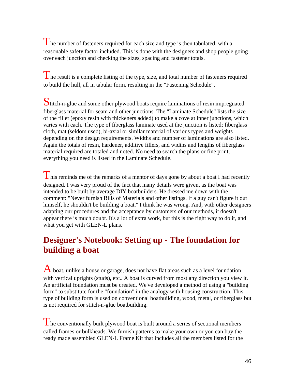The number of fasteners required for each size and type is then tabulated, with a reasonable safety factor included. This is done with the designers and shop people going over each junction and checking the sizes, spacing and fastener totals.

The result is a complete listing of the type, size, and total number of fasteners required to build the hull, all in tabular form, resulting in the "Fastening Schedule".

Stitch-n-glue and some other plywood boats require laminations of resin impregnated fiberglass material for seam and other junctions. The "Laminate Schedule" lists the size of the fillet (epoxy resin with thickeners added) to make a cove at inner junctions, which varies with each. The type of fiberglass laminate used at the junction is listed; fiberglass cloth, mat (seldom used), bi-axial or similar material of various types and weights depending on the design requirements. Widths and number of laminations are also listed. Again the totals of resin, hardener, additive fillers, and widths and lengths of fiberglass material required are totaled and noted. No need to search the plans or fine print, everything you need is listed in the Laminate Schedule.

 $\blacksquare$  his reminds me of the remarks of a mentor of days gone by about a boat I had recently designed. I was very proud of the fact that many details were given, as the boat was intended to be built by average DIY boatbuilders. He dressed me down with the comment: "Never furnish Bills of Materials and other listings. If a guy can't figure it out himself, he shouldn't be building a boat." I think he was wrong. And, with other designers adapting our procedures and the acceptance by customers of our methods, it doesn't appear there is much doubt. It's a lot of extra work, but this is the right way to do it, and what you get with GLEN-L plans.

## **Designer's Notebook: Setting up - The foundation for building a boat**

A boat, unlike a house or garage, does not have flat areas such as a level foundation with vertical uprights (studs), etc.. A boat is curved from most any direction you view it. An artificial foundation must be created. We've developed a method of using a "building form" to substitute for the "foundation" in the analogy with housing construction. This type of building form is used on conventional boatbuilding, wood, metal, or fiberglass but is not required for stitch-n-glue boatbuilding.

The conventionally built plywood boat is built around a series of sectional members called frames or bulkheads. We furnish patterns to make your own or you can buy the ready made assembled GLEN-L Frame Kit that includes all the members listed for the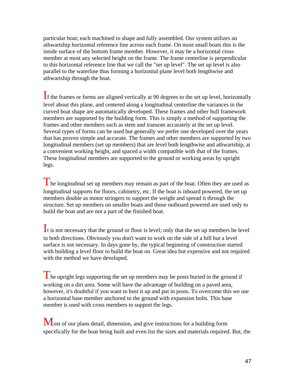particular boat; each machined to shape and fully assembled. Our system utilizes an athwartship horizontal reference line across each frame. On most small boats this is the inside surface of the bottom frame member. However, it may be a horizontal cross member at most any selected height on the frame. The frame centerline is perpendicular to this horizontal reference line that we call the "set up level". The set up level is also parallel to the waterline thus forming a horizontal plane level both lengthwise and athwartship through the boat.

If the frames or forms are aligned vertically at 90 degrees to the set up level, horizontally level about this plane, and centered along a longitudinal centerline the variances in the curved boat shape are automatically developed. These frames and other hull framework members are supported by the building form. This is simply a method of supporting the frames and other members such as stem and transom accurately at the set up level. Several types of forms can be used but generally we prefer one developed over the years that has proven simple and accurate. The frames and other members are supported by two longitudinal members (set up members) that are level both lengthwise and athwartship, at a convenient working height, and spaced a width compatible with that of the frames. These longitudinal members are supported to the ground or working areas by upright legs.

The longitudinal set up members may remain as part of the boat. Often they are used as longitudinal supports for floors, cabinetry, etc. If the boat is inboard powered, the set up members double as motor stringers to support the weight and spread it through the structure. Set up members on smaller boats and those outboard powered are used only to build the boat and are not a part of the finished boat.

It is not necessary that the ground or floor is level; only that the set up members be level in both directions. Obviously you don't want to work on the side of a hill but a level surface is not necessary. In days gone by, the typical beginning of construction started with building a level floor to build the boat on. Great idea but expensive and not required with the method we have developed.

 $\Gamma$  he upright legs supporting the set up members may be posts buried in the ground if working on a dirt area. Some will have the advantage of building on a paved area, however, it's doubtful if you want to bust it up and put in posts. To overcome this we use a horizontal base member anchored to the ground with expansion bolts. This base member is used with cross members to support the legs.

Most of our plans detail, dimension, and give instructions for a building form specifically for the boat being built and even list the sizes and materials required. But, the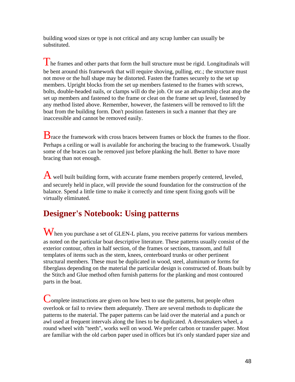building wood sizes or type is not critical and any scrap lumber can usually be substituted.

The frames and other parts that form the hull structure must be rigid. Longitudinals will be bent around this framework that will require shoving, pulling, etc.; the structure must not move or the hull shape may be distorted. Fasten the frames securely to the set up members. Upright blocks from the set up members fastened to the frames with screws, bolts, double-headed nails, or clamps will do the job. Or use an athwartship cleat atop the set up members and fastened to the frame or cleat on the frame set up level, fastened by any method listed above. Remember, however, the fasteners will be removed to lift the boat from the building form. Don't position fasteners in such a manner that they are inaccessible and cannot be removed easily.

**B** race the framework with cross braces between frames or block the frames to the floor. Perhaps a ceiling or wall is available for anchoring the bracing to the framework. Usually some of the braces can be removed just before planking the hull. Better to have more bracing than not enough.

 $\bf{A}$  well built building form, with accurate frame members properly centered, leveled, and securely held in place, will provide the sound foundation for the construction of the balance. Spend a little time to make it correctly and time spent fixing goofs will be virtually eliminated.

## **Designer's Notebook: Using patterns**

When you purchase a set of GLEN-L plans, you receive patterns for various members as noted on the particular boat descriptive literature. These patterns usually consist of the exterior contour, often in half section, of the frames or sections, transom, and full templates of items such as the stem, knees, centerboard trunks or other pertinent structural members. These must be duplicated in wood, steel, aluminum or forms for fiberglass depending on the material the particular design is constructed of. Boats built by the Stitch and Glue method often furnish patterns for the planking and most contoured parts in the boat.

Complete instructions are given on how best to use the patterns, but people often overlook or fail to review them adequately. There are several methods to duplicate the patterns to the material. The paper patterns can be laid over the material and a punch or awl used at frequent intervals along the lines to be duplicated. A dressmakers wheel, a round wheel with "teeth", works well on wood. We prefer carbon or transfer paper. Most are familiar with the old carbon paper used in offices but it's only standard paper size and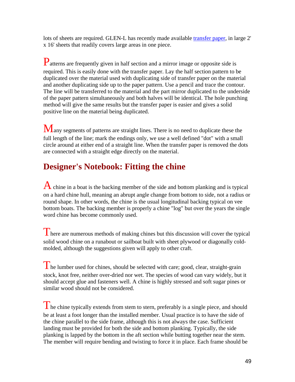lots of sheets are required. GLEN-L has recently made available [transfer paper,](http://shop.glenl.com/browse.cfm/2,456.html) in large 2' x 16' sheets that readily covers large areas in one piece.

Patterns are frequently given in half section and a mirror image or opposite side is required. This is easily done with the transfer paper. Lay the half section pattern to be duplicated over the material used with duplicating side of transfer paper on the material and another duplicating side up to the paper pattern. Use a pencil and trace the contour. The line will be transferred to the material and the part mirror duplicated to the underside of the paper pattern simultaneously and both halves will be identical. The hole punching method will give the same results but the transfer paper is easier and gives a solid positive line on the material being duplicated.

Many segments of patterns are straight lines. There is no need to duplicate these the full length of the line; mark the endings only, we use a well defined "dot" with a small circle around at either end of a straight line. When the transfer paper is removed the dots are connected with a straight edge directly on the material.

## **Designer's Notebook: Fitting the chine**

 $\bf{A}$  chine in a boat is the backing member of the side and bottom planking and is typical on a hard chine hull, meaning an abrupt angle change from bottom to side, not a radius or round shape. In other words, the chine is the usual longitudinal backing typical on vee bottom boats. The backing member is properly a chine "log" but over the years the single word chine has become commonly used.

There are numerous methods of making chines but this discussion will cover the typical solid wood chine on a runabout or sailboat built with sheet plywood or diagonally coldmolded, although the suggestions given will apply to other craft.

The lumber used for chines, should be selected with care; good, clear, straight-grain stock, knot free, neither over-dried nor wet. The species of wood can vary widely, but it should accept glue and fasteners well. A chine is highly stressed and soft sugar pines or similar wood should not be considered.

 $\Gamma$  he chine typically extends from stem to stern, preferably is a single piece, and should be at least a foot longer than the installed member. Usual practice is to have the side of the chine parallel to the side frame, although this is not always the case. Sufficient landing must be provided for both the side and bottom planking. Typically, the side planking is lapped by the bottom in the aft section while butting together near the stem. The member will require bending and twisting to force it in place. Each frame should be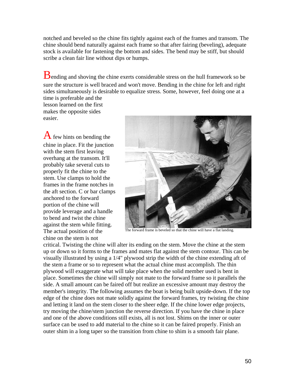notched and beveled so the chine fits tightly against each of the frames and transom. The chine should bend naturally against each frame so that after fairing (beveling), adequate stock is available for fastening the bottom and sides. The bend may be stiff, but should scribe a clean fair line without dips or humps.

Bending and shoving the chine exerts considerable stress on the hull framework so be sure the structure is well braced and won't move. Bending in the chine for left and right sides simultaneously is desirable to equalize stress. Some, however, feel doing one at a

time is preferable and the lesson learned on the first makes the opposite sides easier.

 $\bf{A}$  few hints on bending the chine in place. Fit the junction with the stem first leaving overhang at the transom. It'll probably take several cuts to properly fit the chine to the stem. Use clamps to hold the frames in the frame notches in the aft section. C or bar clamps anchored to the forward portion of the chine will provide leverage and a handle to bend and twist the chine against the stem while fitting. The actual position of the chine on the stem is not



The forward frame is beveled so that the chine will have a flat landing.

critical. Twisting the chine will alter its ending on the stem. Move the chine at the stem up or down so it forms to the frames and mates flat against the stem contour. This can be visually illustrated by using a 1/4" plywood strip the width of the chine extending aft of the stem a frame or so to represent what the actual chine must accomplish. The thin plywood will exaggerate what will take place when the solid member used is bent in place. Sometimes the chine will simply not mate to the forward frame so it parallels the side. A small amount can be faired off but realize an excessive amount may destroy the member's integrity. The following assumes the boat is being built upside-down. If the top edge of the chine does not mate solidly against the forward frames, try twisting the chine and letting it land on the stem closer to the sheer edge. If the chine lower edge projects, try moving the chine/stem junction the reverse direction. If you have the chine in place and one of the above conditions still exists, all is not lost. Shims on the inner or outer surface can be used to add material to the chine so it can be faired properly. Finish an outer shim in a long taper so the transition from chine to shim is a smooth fair plane.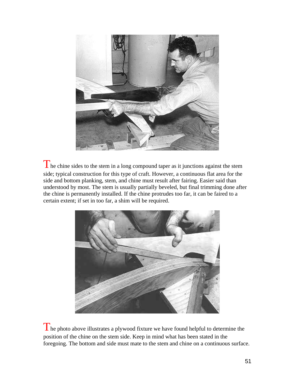

The chine sides to the stem in a long compound taper as it junctions against the stem side; typical construction for this type of craft. However, a continuous flat area for the side and bottom planking, stem, and chine must result after fairing. Easier said than understood by most. The stem is usually partially beveled, but final trimming done after the chine is permanently installed. If the chine protrudes too far, it can be faired to a certain extent; if set in too far, a shim will be required.



The photo above illustrates a plywood fixture we have found helpful to determine the position of the chine on the stem side. Keep in mind what has been stated in the foregoing. The bottom and side must mate to the stem and chine on a continuous surface.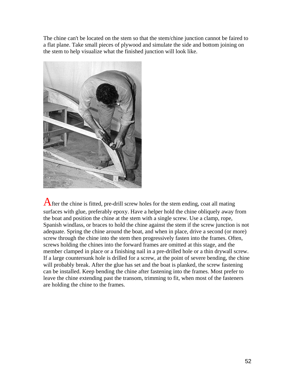The chine can't be located on the stem so that the stem/chine junction cannot be faired to a flat plane. Take small pieces of plywood and simulate the side and bottom joining on the stem to help visualize what the finished junction will look like.



After the chine is fitted, pre-drill screw holes for the stem ending, coat all mating surfaces with glue, preferably epoxy. Have a helper hold the chine obliquely away from the boat and position the chine at the stem with a single screw. Use a clamp, rope, Spanish windlass, or braces to hold the chine against the stem if the screw junction is not adequate. Spring the chine around the boat, and when in place, drive a second (or more) screw through the chine into the stem then progressively fasten into the frames. Often, screws holding the chines into the forward frames are omitted at this stage, and the member clamped in place or a finishing nail in a pre-drilled hole or a thin drywall screw. If a large countersunk hole is drilled for a screw, at the point of severe bending, the chine will probably break. After the glue has set and the boat is planked, the screw fastening can be installed. Keep bending the chine after fastening into the frames. Most prefer to leave the chine extending past the transom, trimming to fit, when most of the fasteners are holding the chine to the frames.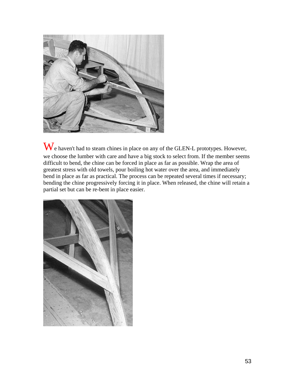

We haven't had to steam chines in place on any of the GLEN-L prototypes. However, we choose the lumber with care and have a big stock to select from. If the member seems difficult to bend, the chine can be forced in place as far as possible. Wrap the area of greatest stress with old towels, pour boiling hot water over the area, and immediately bend in place as far as practical. The process can be repeated several times if necessary; bending the chine progressively forcing it in place. When released, the chine will retain a partial set but can be re-bent in place easier.

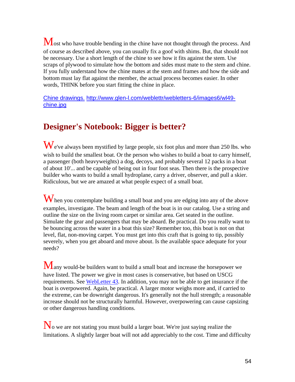Most who have trouble bending in the chine have not thought through the process. And of course as described above, you can usually fix a goof with shims. But, that should not be necessary. Use a short length of the chine to see how it fits against the stem. Use scraps of plywood to simulate how the bottom and sides must mate to the stem and chine. If you fully understand how the chine mates at the stem and frames and how the side and bottom must lay flat against the member, the actual process becomes easier. In other words, THINK before you start fitting the chine in place.

[Chine drawings.](http://www.glen-l.com/weblettr/webletters-6/images6/wl49-chine.jpg) [http://www.glen-l.com/weblettr/webletters-6/images6/wl49](http://www.glen-l.com/weblettr/webletters-6/images6/wl49-chine.jpg) [chine.jpg](http://www.glen-l.com/weblettr/webletters-6/images6/wl49-chine.jpg)

## **Designer's Notebook: Bigger is better?**

We've always been mystified by large people, six foot plus and more than 250 lbs. who wish to build the smallest boat. Or the person who wishes to build a boat to carry himself, a passenger (both heavyweights) a dog, decoys, and probably several 12 packs in a boat of about 10'... and be capable of being out in four foot seas. Then there is the prospective builder who wants to build a small hydroplane, carry a driver, observer, and pull a skier. Ridiculous, but we are amazed at what people expect of a small boat.

When you contemplate building a small boat and you are edging into any of the above examples, investigate. The beam and length of the boat is in our catalog. Use a string and outline the size on the living room carpet or similar area. Get seated in the outline. Simulate the gear and passengers that may be aboard. Be practical. Do you really want to be bouncing across the water in a boat this size? Remember too, this boat is not on that level, flat, non-moving carpet. You must get into this craft that is going to tip, possibly severely, when you get aboard and move about. Is the available space adequate for your needs?

Many would-be builders want to build a small boat and increase the horsepower we have listed. The power we give in most cases is conservative, but based on USCG requirements. See WebLetter 43. In addition, you may not be able to get insurance if the boat is overpowered. Again, be practical. A larger motor weighs more and, if carried to the extreme, can be downright dangerous. It's generally not the hull strength; a reasonable increase should not be structurally harmful. However, overpowering can cause capsizing or other dangerous handling conditions.

No we are not stating you must build a larger boat. We're just saying realize the limitations. A slightly larger boat will not add appreciably to the cost. Time and difficulty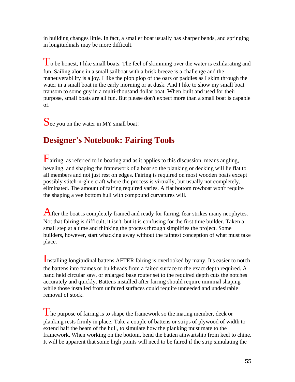in building changes little. In fact, a smaller boat usually has sharper bends, and springing in longitudinals may be more difficult.

To be honest, I like small boats. The feel of skimming over the water is exhilarating and fun. Sailing alone in a small sailboat with a brisk breeze is a challenge and the maneuverability is a joy. I like the plop plop of the oars or paddles as I skim through the water in a small boat in the early morning or at dusk. And I like to show my small boat transom to some guy in a multi-thousand dollar boat. When built and used for their purpose, small boats are all fun. But please don't expect more than a small boat is capable of.

# See you on the water in MY small boat!

## **Designer's Notebook: Fairing Tools**

Fairing, as referred to in boating and as it applies to this discussion, means angling, beveling, and shaping the framework of a boat so the planking or decking will lie flat to all members and not just rest on edges. Fairing is required on most wooden boats except possibly stitch-n-glue craft where the process is virtually, but usually not completely, eliminated. The amount of fairing required varies. A flat bottom rowboat won't require the shaping a vee bottom hull with compound curvatures will.

After the boat is completely framed and ready for fairing, fear strikes many neophytes. Not that fairing is difficult, it isn't, but it is confusing for the first time builder. Taken a small step at a time and thinking the process through simplifies the project. Some builders, however, start whacking away without the faintest conception of what must take place.

Installing longitudinal battens AFTER fairing is overlooked by many. It's easier to notch the battens into frames or bulkheads from a faired surface to the exact depth required. A hand held circular saw, or enlarged base router set to the required depth cuts the notches accurately and quickly. Battens installed after fairing should require minimal shaping while those installed from unfaired surfaces could require unneeded and undesirable removal of stock.

 $\Gamma$  he purpose of fairing is to shape the framework so the mating member, deck or planking rests firmly in place. Take a couple of battens or strips of plywood of width to extend half the beam of the hull, to simulate how the planking must mate to the framework. When working on the bottom, bend the batten athwartship from keel to chine. It will be apparent that some high points will need to be faired if the strip simulating the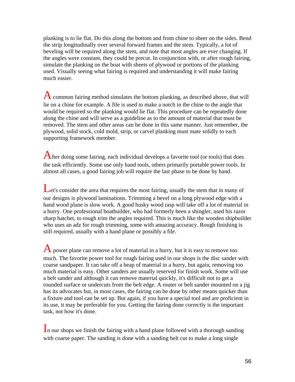planking is to lie flat. Do this along the bottom and from chine to sheer on the sides. Bend the strip longitudinally over several forward frames and the stem. Typically, a lot of beveling will be required along the stem, and note that most angles are ever changing. If the angles were constant, they could be precut. In conjunction with, or after rough fairing, simulate the planking on the boat with sheets of plywood or portions of the planking used. Visually seeing what fairing is required and understanding it will make fairing much easier.

A common fairing method simulates the bottom planking, as described above, that will lie on a chine for example. A file is used to make a notch in the chine to the angle that would be required so the planking would lie flat. This procedure can be repeatedly done along the chine and will serve as a guideline as to the amount of material that must be removed. The stem and other areas can be done in this same manner. Just remember, the plywood, solid stock, cold mold, strip, or carvel planking must mate solidly to each supporting framework member.

After doing some fairing, each individual develops a favorite tool (or tools) that does the task efficiently. Some use only hand tools, others primarily portable power tools. In almost all cases, a good fairing job will require the last phase to be done by hand.

Let's consider the area that requires the most fairing, usually the stem that in many of our designs is plywood laminations. Trimming a bevel on a long plywood edge with a hand wood plane is slow work. A good husky wood rasp will take off a lot of material in a hurry. One professional boatbuilder, who had formerly been a shingler, used his razor sharp hatchet, to rough trim the angles required. This is much like the wooden shipbuilder who uses an adz for rough trimming, some with amazing accuracy. Rough finishing is still required, usually with a hand plane or possibly a file.

A power plane can remove a lot of material in a hurry, but it is easy to remove too much. The favorite power tool for rough fairing used in our shops is the disc sander with coarse sandpaper. It can take off a heap of material in a hurry, but again, removing too much material is easy. Other sanders are usually reserved for finish work. Some will use a belt sander and although it can remove material quickly, it's difficult not to get a rounded surface or undercuts from the belt edge. A router or belt sander mounted on a jig has its advocates but, in most cases, the fairing can be done by other means quicker than a fixture and tool can be set up. But again, if you have a special tool and are proficient in its use, it may be preferable for you. Getting the fairing done correctly is the important task, not how it's done.

In our shops we finish the fairing with a hand plane followed with a thorough sanding with coarse paper. The sanding is done with a sanding belt cut to make a long single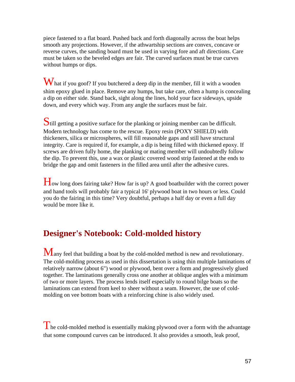piece fastened to a flat board. Pushed back and forth diagonally across the boat helps smooth any projections. However, if the athwartship sections are convex, concave or reverse curves, the sanding board must be used in varying fore and aft directions. Care must be taken so the beveled edges are fair. The curved surfaces must be true curves without humps or dips.

What if you goof? If you butchered a deep dip in the member, fill it with a wooden shim epoxy glued in place. Remove any humps, but take care, often a hump is concealing a dip on either side. Stand back, sight along the lines, hold your face sideways, upside down, and every which way. From any angle the surfaces must be fair.

Still getting a positive surface for the planking or joining member can be difficult. Modern technology has come to the rescue. Epoxy resin (POXY SHIELD) with thickeners, silica or microspheres, will fill reasonable gaps and still have structural integrity. Care is required if, for example, a dip is being filled with thickened epoxy. If screws are driven fully home, the planking or mating member will undoubtedly follow the dip. To prevent this, use a wax or plastic covered wood strip fastened at the ends to bridge the gap and omit fasteners in the filled area until after the adhesive cures.

How long does fairing take? How far is up? A good boatbuilder with the correct power and hand tools will probably fair a typical 16' plywood boat in two hours or less. Could you do the fairing in this time? Very doubtful, perhaps a half day or even a full day would be more like it.

### **Designer's Notebook: Cold-molded history**

Many feel that building a boat by the cold-molded method is new and revolutionary. The cold-molding process as used in this dissertation is using thin multiple laminations of relatively narrow (about 6") wood or plywood, bent over a form and progressively glued together. The laminations generally cross one another at oblique angles with a minimum of two or more layers. The process lends itself especially to round bilge boats so the laminations can extend from keel to sheer without a seam. However, the use of coldmolding on vee bottom boats with a reinforcing chine is also widely used.

The cold-molded method is essentially making plywood over a form with the advantage that some compound curves can be introduced. It also provides a smooth, leak proof,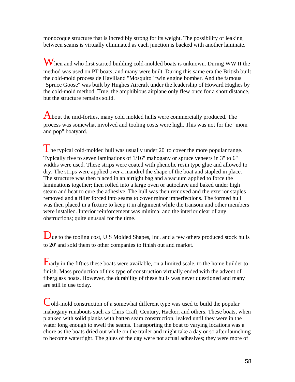monocoque structure that is incredibly strong for its weight. The possibility of leaking between seams is virtually eliminated as each junction is backed with another laminate.

When and who first started building cold-molded boats is unknown. During WW II the method was used on PT boats, and many were built. During this same era the British built the cold-mold process de Havilland "Mosquito" twin engine bomber. And the famous "Spruce Goose" was built by Hughes Aircraft under the leadership of Howard Hughes by the cold-mold method. True, the amphibious airplane only flew once for a short distance, but the structure remains solid.

About the mid-forties, many cold molded hulls were commercially produced. The process was somewhat involved and tooling costs were high. This was not for the "mom and pop" boatyard.

The typical cold-molded hull was usually under 20' to cover the more popular range. Typically five to seven laminations of 1/16" mahogany or spruce veneers in 3" to 6" widths were used. These strips were coated with phenolic resin type glue and allowed to dry. The strips were applied over a mandrel the shape of the boat and stapled in place. The structure was then placed in an airtight bag and a vacuum applied to force the laminations together; then rolled into a large oven or autoclave and baked under high steam and heat to cure the adhesive. The hull was then removed and the exterior staples removed and a filler forced into seams to cover minor imperfections. The formed hull was then placed in a fixture to keep it in alignment while the transom and other members were installed. Interior reinforcement was minimal and the interior clear of any obstructions; quite unusual for the time.

Due to the tooling cost, U S Molded Shapes, Inc. and a few others produced stock hulls to 20' and sold them to other companies to finish out and market.

Early in the fifties these boats were available, on a limited scale, to the home builder to finish. Mass production of this type of construction virtually ended with the advent of fiberglass boats. However, the durability of these hulls was never questioned and many are still in use today.

Cold-mold construction of a somewhat different type was used to build the popular mahogany runabouts such as Chris Craft, Century, Hacker, and others. These boats, when planked with solid planks with batten seam construction, leaked until they were in the water long enough to swell the seams. Transporting the boat to varying locations was a chore as the boats dried out while on the trailer and might take a day or so after launching to become watertight. The glues of the day were not actual adhesives; they were more of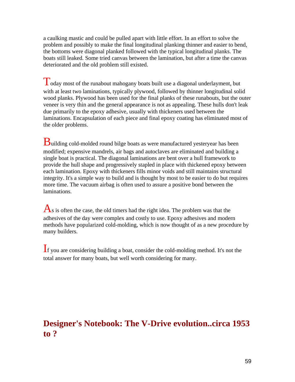a caulking mastic and could be pulled apart with little effort. In an effort to solve the problem and possibly to make the final longitudinal planking thinner and easier to bend, the bottoms were diagonal planked followed with the typical longitudinal planks. The boats still leaked. Some tried canvas between the lamination, but after a time the canvas deteriorated and the old problem still existed.

Today most of the runabout mahogany boats built use a diagonal underlayment, but with at least two laminations, typically plywood, followed by thinner longitudinal solid wood planks. Plywood has been used for the final planks of these runabouts, but the outer veneer is very thin and the general appearance is not as appealing. These hulls don't leak due primarily to the epoxy adhesive, usually with thickeners used between the laminations. Encapsulation of each piece and final epoxy coating has eliminated most of the older problems.

Building cold-molded round bilge boats as were manufactured yesteryear has been modified; expensive mandrels, air bags and autoclaves are eliminated and building a single boat is practical. The diagonal laminations are bent over a hull framework to provide the hull shape and progressively stapled in place with thickened epoxy between each lamination. Epoxy with thickeners fills minor voids and still maintains structural integrity. It's a simple way to build and is thought by most to be easier to do but requires more time. The vacuum airbag is often used to assure a positive bond between the laminations.

 $\overline{A}$ s is often the case, the old timers had the right idea. The problem was that the adhesives of the day were complex and costly to use. Epoxy adhesives and modern methods have popularized cold-molding, which is now thought of as a new procedure by many builders.

If you are considering building a boat, consider the cold-molding method. It's not the total answer for many boats, but well worth considering for many.

## **Designer's Notebook: The V-Drive evolution..circa 1953 to ?**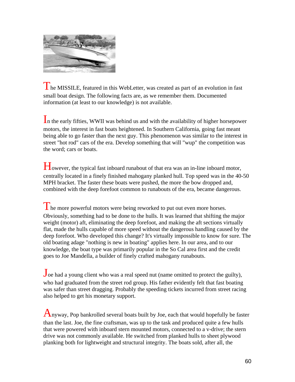

 $\Gamma$  he MISSILE, featured in this WebLetter, was created as part of an evolution in fast small boat design. The following facts are, as we remember them. Documented information (at least to our knowledge) is not available.

In the early fifties, WWII was behind us and with the availability of higher horsepower motors, the interest in fast boats heightened. In Southern California, going fast meant being able to go faster than the next guy. This phenomenon was similar to the interest in street "hot rod" cars of the era. Develop something that will "wup" the competition was the word; cars or boats.

However, the typical fast inboard runabout of that era was an in-line inboard motor, centrally located in a finely finished mahogany planked hull. Top speed was in the 40-50 MPH bracket. The faster these boats were pushed, the more the bow dropped and, combined with the deep forefoot common to runabouts of the era, became dangerous.

 $\mathbf{T}$  he more powerful motors were being reworked to put out even more horses. Obviously, something had to be done to the hulls. It was learned that shifting the major weight (motor) aft, eliminating the deep forefoot, and making the aft sections virtually flat, made the hulls capable of more speed without the dangerous handling caused by the deep forefoot. Who developed this change? It's virtually impossible to know for sure. The old boating adage "nothing is new in boating" applies here. In our area, and to our knowledge, the boat type was primarily popular in the So Cal area first and the credit goes to Joe Mandella, a builder of finely crafted mahogany runabouts.

Joe had a young client who was a real speed nut (name omitted to protect the guilty), who had graduated from the street rod group. His father evidently felt that fast boating was safer than street dragging. Probably the speeding tickets incurred from street racing also helped to get his monetary support.

 $A_{\text{nvway}}$ , Pop bankrolled several boats built by Joe, each that would hopefully be faster than the last. Joe, the fine craftsman, was up to the task and produced quite a few hulls that were powered with inboard stern mounted motors, connected to a v-drive; the stern drive was not commonly available. He switched from planked hulls to sheet plywood planking both for lightweight and structural integrity. The boats sold, after all, the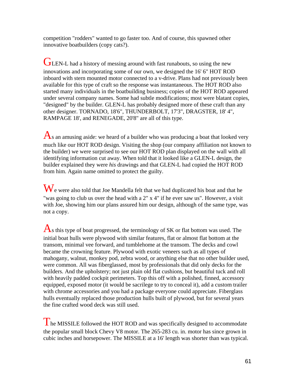competition "rodders" wanted to go faster too. And of course, this spawned other innovative boatbuilders (copy cats?).

GLEN-L had a history of messing around with fast runabouts, so using the new innovations and incorporating some of our own, we designed the 16' 6" HOT ROD inboard with stern mounted motor connected to a v-drive. Plans had not previously been available for this type of craft so the response was instantaneous. The HOT ROD also started many individuals in the boatbuilding business; copies of the HOT ROD appeared under several company names. Some had subtle modifications; most were blatant copies, "designed" by the builder. GLEN-L has probably designed more of these craft than any other designer. TORNADO, 18'6", THUNDERBOLT, 17'3", DRAGSTER, 18' 4", RAMPAGE 18', and RENEGADE, 20'8" are all of this type.

 $\mathbf{A}_s$  an amusing aside: we heard of a builder who was producing a boat that looked very much like our HOT ROD design. Visiting the shop (our company affiliation not known to the builder) we were surprised to see our HOT ROD plan displayed on the wall with all identifying information cut away. When told that it looked like a GLEN-L design, the builder explained they were *his* drawings and that GLEN-L had copied the HOT ROD from him. Again name omitted to protect the guilty.

 $\mathbf W_{\rm e}$  were also told that Joe Mandella felt that we had duplicated his boat and that he "was going to club us over the head with a 2" x 4" if he ever saw us". However, a visit with Joe, showing him our plans assured him our design, although of the same type, was not a copy.

 $\overline{A}$ s this type of boat progressed, the terminology of SK or flat bottom was used. The initial boat hulls were plywood with similar features, flat or almost flat bottom at the transom, minimal vee forward, and tumblehome at the transom. The decks and cowl became the crowning feature. Plywood with exotic veneers such as all types of mahogany, walnut, monkey pod, zebra wood, or anything else that no other builder used, were common. All was fiberglassed, most by professionals that did only decks for the builders. And the upholstery; not just plain old flat cushions, but beautiful tuck and roll with heavily padded cockpit perimeters. Top this off with a polished, finned, accessory equipped, exposed motor (it would be sacrilege to try to conceal it), add a custom trailer with chrome accessories and you had a package everyone could appreciate. Fiberglass hulls eventually replaced those production hulls built of plywood, but for several years the fine crafted wood deck was still used.

I he MISSILE followed the HOT ROD and was specifically designed to accommodate the popular small block Chevy V8 motor. The 265-283 cu. in. motor has since grown in cubic inches and horsepower. The MISSILE at a 16' length was shorter than was typical.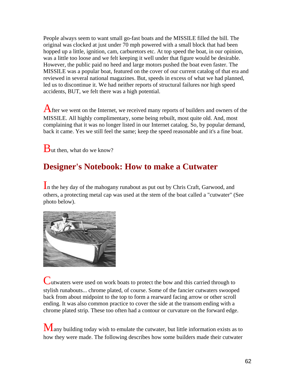People always seem to want small go-fast boats and the MISSILE filled the bill. The original was clocked at just under 70 mph powered with a small block that had been hopped up a little, ignition, cam, carburetors etc. At top speed the boat, in our opinion, was a little too loose and we felt keeping it well under that figure would be desirable. However, the public paid no heed and large motors pushed the boat even faster. The MISSILE was a popular boat, featured on the cover of our current catalog of that era and reviewed in several national magazines. But, speeds in excess of what we had planned, led us to discontinue it. We had neither reports of structural failures nor high speed accidents, BUT, we felt there was a high potential.

After we went on the Internet, we received many reports of builders and owners of the MISSILE. All highly complimentary, some being rebuilt, most quite old. And, most complaining that it was no longer listed in our Internet catalog. So, by popular demand, back it came. Yes we still feel the same; keep the speed reasonable and it's a fine boat.

 $\mathbf B$ ut then, what do we know?

## **Designer's Notebook: How to make a Cutwater**

In the hey day of the mahogany runabout as put out by Chris Craft, Garwood, and others, a protecting metal cap was used at the stem of the boat called a "cutwater" (See photo below).



Cutwaters were used on work boats to protect the bow and this carried through to stylish runabouts... chrome plated, of course. Some of the fancier cutwaters swooped back from about midpoint to the top to form a rearward facing arrow or other scroll ending. It was also common practice to cover the side at the transom ending with a chrome plated strip. These too often had a contour or curvature on the forward edge.

 $M$ any building today wish to emulate the cutwater, but little information exists as to how they were made. The following describes how some builders made their cutwater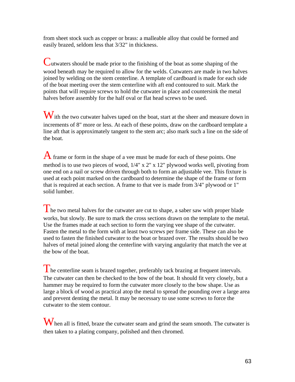from sheet stock such as copper or brass: a malleable alloy that could be formed and easily brazed, seldom less that 3/32" in thickness.

Cutwaters should be made prior to the finishing of the boat as some shaping of the wood beneath may be required to allow for the welds. Cutwaters are made in two halves joined by welding on the stem centerline. A template of cardboard is made for each side of the boat meeting over the stem centerline with aft end contoured to suit. Mark the points that will require screws to hold the cutwater in place and countersink the metal halves before assembly for the half oval or flat head screws to be used.

With the two cutwater halves taped on the boat, start at the sheer and measure down in increments of 8" more or less. At each of these points, draw on the cardboard template a line aft that is approximately tangent to the stem arc; also mark such a line on the side of the boat.

 $\bf{A}$  frame or form in the shape of a vee must be made for each of these points. One method is to use two pieces of wood, 1/4" x 2" x 12" plywood works well, pivoting from one end on a nail or screw driven through both to form an adjustable vee. This fixture is used at each point marked on the cardboard to determine the shape of the frame or form that is required at each section. A frame to that vee is made from 3/4" plywood or 1" solid lumber.

 $\blacksquare$  he two metal halves for the cutwater are cut to shape, a saber saw with proper blade works, but slowly. Be sure to mark the cross sections drawn on the template to the metal. Use the frames made at each section to form the varying vee shape of the cutwater. Fasten the metal to the form with at least two screws per frame side. These can also be used to fasten the finished cutwater to the boat or brazed over. The results should be two halves of metal joined along the centerline with varying angularity that match the vee at the bow of the boat.

The centerline seam is brazed together, preferably tack brazing at frequent intervals. The cutwater can then be checked to the bow of the boat. It should fit very closely, but a hammer may be required to form the cutwater more closely to the bow shape. Use as large a block of wood as practical atop the metal to spread the pounding over a large area and prevent denting the metal. It may be necessary to use some screws to force the cutwater to the stem contour.

When all is fitted, braze the cutwater seam and grind the seam smooth. The cutwater is then taken to a plating company, polished and then chromed.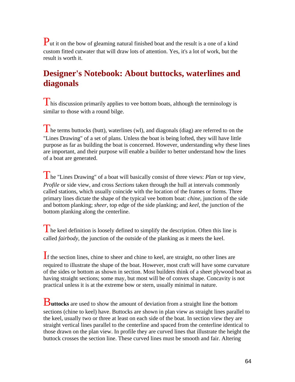Put it on the bow of gleaming natural finished boat and the result is a one of a kind custom fitted cutwater that will draw lots of attention. Yes, it's a lot of work, but the result is worth it.

## **Designer's Notebook: About buttocks, waterlines and diagonals**

 $\mathbf{T}$  his discussion primarily applies to vee bottom boats, although the terminology is similar to those with a round bilge.

The terms buttocks (butt), waterlines (wl), and diagonals (diag) are referred to on the "Lines Drawing" of a set of plans. Unless the boat is being lofted, they will have little purpose as far as building the boat is concerned. However, understanding why these lines are important, and their purpose will enable a builder to better understand how the lines of a boat are generated.

The "Lines Drawing" of a boat will basically consist of three views: *Plan* or top view, *Profile* or side view, and cross *Sections* taken through the hull at intervals commonly called stations, which usually coincide with the location of the frames or forms. Three primary lines dictate the shape of the typical vee bottom boat: *chine*, junction of the side and bottom planking; *sheer*, top edge of the side planking; and *keel*, the junction of the bottom planking along the centerline.

The keel definition is loosely defined to simplify the description. Often this line is called *fairbody*, the junction of the outside of the planking as it meets the keel.

If the section lines, chine to sheer and chine to keel, are straight, no other lines are required to illustrate the shape of the boat. However, most craft will have some curvature of the sides or bottom as shown in section. Most builders think of a sheet plywood boat as having straight sections; some may, but most will be of convex shape. Concavity is not practical unless it is at the extreme bow or stern, usually minimal in nature.

B**uttocks** are used to show the amount of deviation from a straight line the bottom sections (chine to keel) have. Buttocks are shown in plan view as straight lines parallel to the keel, usually two or three at least on each side of the boat. In section view they are straight vertical lines parallel to the centerline and spaced from the centerline identical to those drawn on the plan view. In profile they are curved lines that illustrate the height the buttock crosses the section line. These curved lines must be smooth and fair. Altering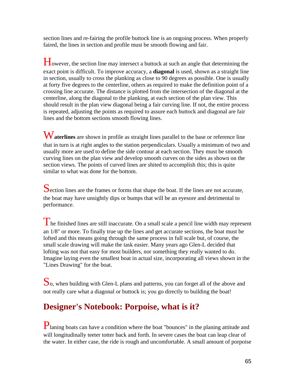section lines and re-fairing the profile buttock line is an ongoing process. When properly faired, the lines in section and profile must be smooth flowing and fair.

However, the section line may intersect a buttock at such an angle that determining the exact point is difficult. To improve accuracy, a **diagonal** is used, shown as a straight line in section, usually to cross the planking as close to 90 degrees as possible. One is usually at forty five degrees to the centerline, others as required to make the definition point of a crossing line accurate. The distance is plotted from the intersection of the diagonal at the centerline, along the diagonal to the planking, at each section of the plan view. This should result in the plan view diagonal being a fair curving line. If not, the entire process is repeated, adjusting the points as required to assure each buttock and diagonal are fair lines and the bottom sections smooth flowing lines.

Waterlines are shown in profile as straight lines parallel to the base or reference line that in turn is at right angles to the station perpendiculars. Usually a minimum of two and usually more are used to define the side contour at each section. They must be smooth curving lines on the plan view and develop smooth curves on the sides as shown on the section views. The points of curved lines are shited to accomplish this; this is quite similar to what was done for the bottom.

Section lines are the frames or forms that shape the boat. If the lines are not accurate, the boat may have unsightly dips or bumps that will be an eyesore and detrimental to performance.

 $\Gamma$  he finished lines are still inaccurate. On a small scale a pencil line width may represent an 1/8" or more. To finally true up the lines and get accurate sections, the boat must be lofted and this means going through the same process in full scale but, of course, the small scale drawing will make the task easier. Many years ago Glen-L decided that lofting was not that easy for most builders, nor something they really wanted to do. Imagine laying even the smallest boat in actual size, incorporating all views shown in the "Lines Drawing" for the boat.

So, when building with Glen-L plans and patterns, you can forget all of the above and not really care what a diagonal or buttock is; you go directly to building the boat!

## **Designer's Notebook: Porpoise, what is it?**

Planing boats can have a condition where the boat "bounces" in the planing attitude and will longitudinally teeter totter back and forth. In severe cases the boat can leap clear of the water. In either case, the ride is rough and uncomfortable. A small amount of porpoise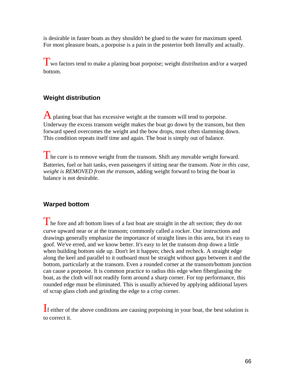is desirable in faster boats as they shouldn't be glued to the water for maximum speed. For most pleasure boats, a porpoise is a pain in the posterior both literally and actually.

Two factors tend to make a planing boat porpoise; weight distribution and/or a warped bottom.

#### **Weight distribution**

A planing boat that has excessive weight at the transom will tend to porpoise. Underway the excess transom weight makes the boat go down by the transom, but then forward speed overcomes the weight and the bow drops, most often slamming down. This condition repeats itself time and again. The boat is simply out of balance.

I he cure is to remove weight from the transom. Shift any movable weight forward. Batteries, fuel or bait tanks, even passengers if sitting near the transom. *Note in this case, weight is REMOVED from the transom*, adding weight forward to bring the boat in balance is not desirable.

#### **Warped bottom**

The fore and aft bottom lines of a fast boat are straight in the aft section; they do not curve upward near or at the transom; commonly called a rocker. Our instructions and drawings generally emphasize the importance of straight lines in this area, but it's easy to goof. We've erred, and we know better. It's easy to let the transom drop down a little when building bottom side up. Don't let it happen; check and recheck. A straight edge along the keel and parallel to it outboard must be straight without gaps between it and the bottom, particularly at the transom. Even a rounded corner at the transom/bottom junction can cause a porpoise. It is common practice to radius this edge when fiberglassing the boat, as the cloth will not readily form around a sharp corner. For top performance, this rounded edge must be eliminated. This is usually achieved by applying additional layers of scrap glass cloth and grinding the edge to a crisp corner.

If either of the above conditions are causing porpoising in your boat, the best solution is to correct it.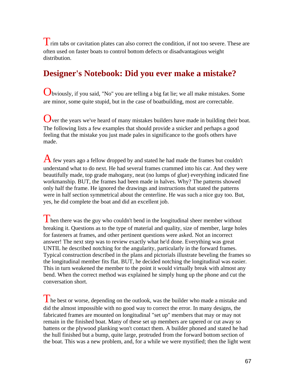Trim tabs or cavitation plates can also correct the condition, if not too severe. These are often used on faster boats to control bottom defects or disadvantagious weight distribution.

## **Designer's Notebook: Did you ever make a mistake?**

Obviously, if you said, "No" you are telling a big fat lie; we all make mistakes. Some are minor, some quite stupid, but in the case of boatbuilding, most are correctable.

Over the years we've heard of many mistakes builders have made in building their boat. The following lists a few examples that should provide a snicker and perhaps a good feeling that the mistake you just made pales in significance to the goofs others have made.

A few years ago a fellow dropped by and stated he had made the frames but couldn't understand what to do next. He had several frames crammed into his car. And they were beautifully made, top grade mahogany, neat (no lumps of glue) everything indicated fine workmanship. BUT, the frames had been made in halves. Why? The patterns showed only half the frame. He ignored the drawings and instructions that stated the patterns were in half section symmetrical about the centerline. He was such a nice guy too. But, yes, he did complete the boat and did an excellent job.

I hen there was the guy who couldn't bend in the longitudinal sheer member without breaking it. Questions as to the type of material and quality, size of member, large holes for fasteners at frames, and other pertinent questions were asked. Not an incorrect answer! The next step was to review exactly what he'd done. Everything was great UNTIL he described notching for the angularity, particularly in the forward frames. Typical construction described in the plans and pictorials illustrate beveling the frames so the longitudinal member fits flat. BUT, he decided notching the longitudinal was easier. This in turn weakened the member to the point it would virtually break with almost any bend. When the correct method was explained he simply hung up the phone and cut the conversation short.

 $\perp$  he best or worse, depending on the outlook, was the builder who made a mistake and did the almost impossible with no good way to correct the error. In many designs, the fabricated frames are mounted on longitudinal "set up" members that may or may not remain in the finished boat. Many of these set up members are tapered or cut away so battens or the plywood planking won't contact them. A builder phoned and stated he had the hull finished but a bump, quite large, protruded from the forward bottom section of the boat. This was a new problem, and, for a while we were mystified; then the light went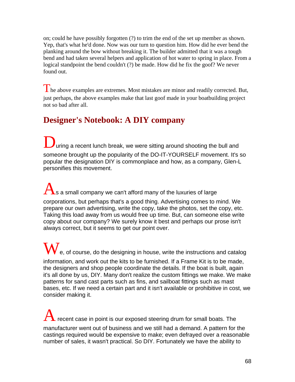on; could he have possibly forgotten (?) to trim the end of the set up member as shown. Yep, that's what he'd done. Now was our turn to question him. How did he ever bend the planking around the bow without breaking it. The builder admitted that it was a tough bend and had taken several helpers and application of hot water to spring in place. From a logical standpoint the bend couldn't (?) be made. How did he fix the goof? We never found out.

The above examples are extremes. Most mistakes are minor and readily corrected. But, just perhaps, the above examples make that last goof made in your boatbuilding project not so bad after all.

## **Designer's Notebook: A DIY company**

uring a recent lunch break, we were sitting around shooting the bull and someone brought up the popularity of the DO-IT-YOURSELF movement. It's so popular the designation DIY is commonplace and how, as a company, Glen-L personifies this movement.

As a small company we can't afford many of the luxuries of large corporations, but perhaps that's a good thing. Advertising comes to mind. We prepare our own advertising, write the copy, take the photos, set the copy, etc. Taking this load away from us would free up time. But, can someone else write copy about our company? We surely know it best and perhaps our prose isn't always correct, but it seems to get our point over.

 $\mathbf W$  e, of course, do the designing in house, write the instructions and catalog information, and work out the kits to be furnished. If a Frame Kit is to be made, the designers and shop people coordinate the details. If the boat is built, again it's all done by us, DIY. Many don't realize the custom fittings we make. We make patterns for sand cast parts such as fins, and sailboat fittings such as mast bases, etc. If we need a certain part and it isn't available or prohibitive in cost, we consider making it.

recent case in point is our exposed steering drum for small boats. The manufacturer went out of business and we still had a demand. A pattern for the castings required would be expensive to make; even defrayed over a reasonable number of sales, it wasn't practical. So DIY. Fortunately we have the ability to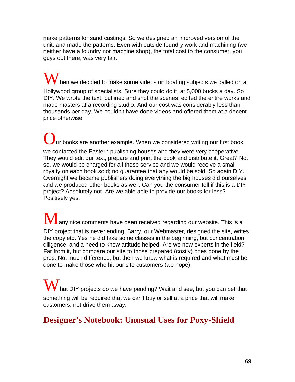make patterns for sand castings. So we designed an improved version of the unit, and made the patterns. Even with outside foundry work and machining (we neither have a foundry nor machine shop), the total cost to the consumer, you guys out there, was very fair.

 $\mathbf W$  hen we decided to make some videos on boating subjects we called on a Hollywood group of specialists. Sure they could do it, at 5,000 bucks a day. So DIY. We wrote the text, outlined and shot the scenes, edited the entire works and made masters at a recording studio. And our cost was considerably less than thousands per day. We couldn't have done videos and offered them at a decent price otherwise.

 $\mathbf y$  ur books are another example. When we considered writing our first book, we contacted the Eastern publishing houses and they were very cooperative. They would edit our text, prepare and print the book and distribute it. Great? Not so, we would be charged for all these service and we would receive a small royalty on each book sold; no guarantee that any would be sold. So again DIY. Overnight we became publishers doing everything the big houses did ourselves and we produced other books as well. Can you the consumer tell if this is a DIY project? Absolutely not. Are we able able to provide our books for less? Positively yes.

 $\bf{M}$ any nice comments have been received regarding our website. This is a DIY project that is never ending. Barry, our Webmaster, designed the site, writes the copy etc. Yes he did take some classes in the beginning, but concentration, diligence, and a need to know attitude helped. Are we now experts in the field? Far from it, but compare our site to those prepared (costly) ones done by the pros. Not much difference, but then we know what is required and what must be done to make those who hit our site customers (we hope).

hat DIY projects do we have pending? Wait and see, but you can bet that something will be required that we can't buy or sell at a price that will make customers, not drive them away.

## **Designer's Notebook: Unusual Uses for Poxy-Shield**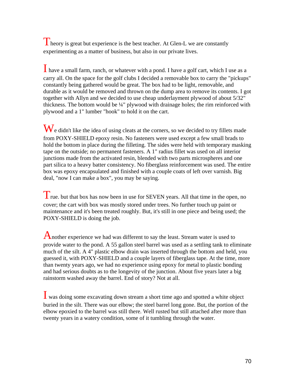Theory is great but experience is the best teacher. At Glen-L we are constantly experimenting as a matter of business, but also in our private lives.

I have a small farm, ranch, or whatever with a pond. I have a golf cart, which I use as a carry all. On the space for the golf clubs I decided a removable box to carry the "pickups" constantly being gathered would be great. The box had to be light, removable, and durable as it would be removed and thrown on the dump area to remove its contents. I got together with Allyn and we decided to use cheap underlayment plywood of about 5/32" thickness. The bottom would be ¼" plywood with drainage holes; the rim reinforced with plywood and a 1" lumber "hook" to hold it on the cart.

 $\mathbf W$ e didn't like the idea of using cleats at the corners, so we decided to try fillets made from POXY-SHIELD epoxy resin. No fasteners were used except a few small brads to hold the bottom in place during the filleting. The sides were held with temporary masking tape on the outside; no permanent fasteners. A 1" radius fillet was used on all interior junctions made from the activated resin, blended with two parts microspheres and one part silica to a heavy batter consistency. No fiberglass reinforcement was used. The entire box was epoxy encapsulated and finished with a couple coats of left over varnish. Big deal, "now I can make a box", you may be saying.

True. but that box has now been in use for SEVEN years. All that time in the open, no cover; the cart with box was mostly stored under trees. No further touch up paint or maintenance and it's been treated roughly. But, it's still in one piece and being used; the POXY-SHIELD is doing the job.

Another experience we had was different to say the least. Stream water is used to provide water to the pond. A 55 gallon steel barrel was used as a settling tank to eliminate much of the silt. A 4" plastic elbow drain was inserted through the bottom and held, you guessed it, with POXY-SHIELD and a couple layers of fiberglass tape. At the time, more than twenty years ago, we had no experience using epoxy for metal to plastic bonding and had serious doubts as to the longevity of the junction. About five years later a big rainstorm washed away the barrel. End of story? Not at all.

I was doing some excavating down stream a short time ago and spotted a white object buried in the silt. There was our elbow; the steel barrel long gone. But, the portion of the elbow epoxied to the barrel was still there. Well rusted but still attached after more than twenty years in a watery condition, some of it tumbling through the water.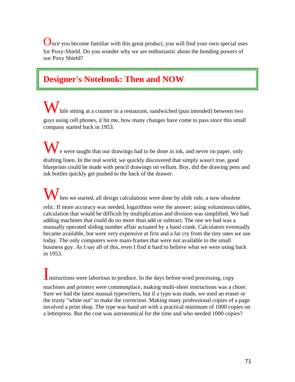Once you become familiar with this great product, you will find your own special uses for Poxy-Shield. Do you wonder why we are enthusiastic about the bonding powers of our Poxy Shield?

## **Designer's Notebook: Then and NOW**

hile sitting at a counter in a restaurant, sandwiched (pun intended) between two guys using cell phones, it hit me, how many changes have come to pass since this small company started back in 1953.

We were taught that our drawings had to be done in ink, and never on paper, only drafting linen. In the real world, we quickly discovered that simply wasn't true, good blueprints could be made with pencil drawings on vellum. Boy, did the drawing pens and ink bottles quickly get pushed to the back of the drawer.

hen we started, all design calculations were done by slide rule, a now obsolete relic. If more accuracy was needed, logarithms were the answer; using voluminous tables, calculation that would be difficult by multiplication and division was simplified. We had adding machines that could do no more than add or subtract. The one we had was a manually operated sliding number affair actuated by a hand crank. Calculators eventually became available, but were very expensive at first and a far cry from the tiny ones we use today. The only computers were main-frames that were not available to the small business guy. As I say all of this, even I find it hard to believe what we were using back in 1953.

Instructions were laborious to produce. In the days before word processing, copy

machines and printers were commonplace, making multi-sheet instructions was a chore. Sure we had the latest manual typewriters, but if a typo was made, we used an eraser or the trusty "white out" to make the correction. Making many professional copies of a page involved a print shop. The type was hand set with a practical minimum of 1000 copies on a letterpress. But the cost was astronomical for the time and who needed 1000 copies?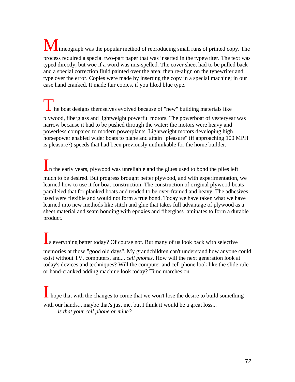$\Box$ imeograph was the popular method of reproducing small runs of printed copy. The process required a special two-part paper that was inserted in the typewriter. The text was typed directly, but woe if a word was mis-spelled. The cover sheet had to be pulled back and a special correction fluid painted over the area; then re-align on the typewriter and type over the error. Copies were made by inserting the copy in a special machine; in our case hand cranked. It made fair copies, if you liked blue type.

The boat designs themselves evolved because of "new" building materials like plywood, fiberglass and lightweight powerful motors. The powerboat of yesteryear was narrow because it had to be pushed through the water; the motors were heavy and powerless compared to modern powerplants. Lightweight motors developing high horsepower enabled wider boats to plane and attain "pleasure" (if approaching 100 MPH is pleasure?) speeds that had been previously unthinkable for the home builder.

In the early years, plywood was unreliable and the glues used to bond the plies left

much to be desired. But progress brought better plywood, and with experimentation, we learned how to use it for boat construction. The construction of original plywood boats paralleled that for planked boats and tended to be over-framed and heavy. The adhesives used were flexible and would not form a true bond. Today we have taken what we have learned into new methods like stitch and glue that takes full advantage of plywood as a sheet material and seam bonding with epoxies and fiberglass laminates to form a durable product.

**I**s everything better today? Of course not. But many of us look back with selective memories at those "good old days". My grandchildren can't understand how anyone could exist without TV, computers, and... *cell phones*. How will the next generation look at today's devices and techniques? Will the computer and cell phone look like the slide rule or hand-cranked adding machine look today? Time marches on.

 $\blacktriangle$  hope that with the changes to come that we won't lose the desire to build something with our hands... maybe that's just me, but I think it would be a great loss... *is that your cell phone or mine?*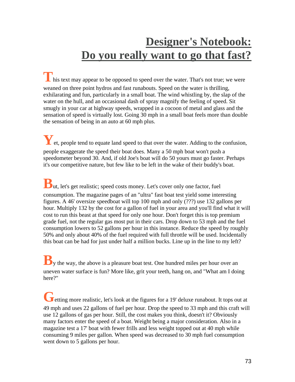# **Designer's Notebook: Do you really want to go that fast?**

**T** his text may appear to be opposed to speed over the water. That's not true; we were weaned on three point hydros and fast runabouts. Speed on the water is thrilling, exhilarating and fun, particularly in a small boat. The wind whistling by, the slap of the water on the hull, and an occasional dash of spray magnify the feeling of speed. Sit smugly in your car at highway speeds, wrapped in a cocoon of metal and glass and the sensation of speed is virtually lost. Going 30 mph in a small boat feels more than double the sensation of being in an auto at 60 mph plus.

**Y**et, people tend to equate land speed to that over the water. Adding to the confusion, people exaggerate the speed their boat does. Many a 50 mph boat won't push a speedometer beyond 30. And, if old Joe's boat will do 50 yours must go faster. Perhaps it's our competitive nature, but few like to be left in the wake of their buddy's boat.

**B**ut, let's get realistic; speed costs money. Let's cover only one factor, fuel consumption. The magazine pages of an "ultra" fast boat test yield some interesting figures. A 46' oversize speedboat will top 100 mph and only (???) use 132 gallons per hour. Multiply 132 by the cost for a gallon of fuel in your area and you'll find what it will cost to run this beast at that speed for only one hour. Don't forget this is top premium grade fuel, not the regular gas most put in their cars. Drop down to 53 mph and the fuel consumption lowers to 52 gallons per hour in this instance. Reduce the speed by roughly 50% and only about 40% of the fuel required with full throttle will be used. Incidentally this boat can be had for just under half a million bucks. Line up in the line to my left?

**B**<sub>y</sub> the way, the above is a pleasure boat test. One hundred miles per hour over an uneven water surface is fun? More like, grit your teeth, hang on, and "What am I doing here?"

**G** etting more realistic, let's look at the figures for a 19' deluxe runabout. It tops out at 49 mph and uses 22 gallons of fuel per hour. Drop the speed to 33 mph and this craft will use 12 gallons of gas per hour. Still, the cost makes you think, doesn't it? Obviously many factors enter the speed of a boat. Weight being a major consideration. Also in a magazine test a 17' boat with fewer frills and less weight topped out at 40 mph while consuming 9 miles per gallon. When speed was decreased to 30 mph fuel consumption went down to 5 gallons per hour.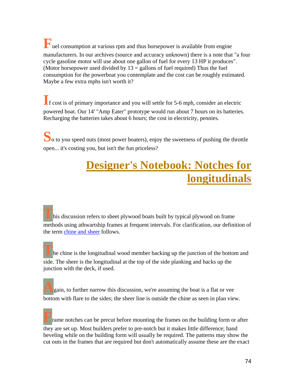**F**uel consumption at various rpm and thus horsepower is available from engine manufacturers. In our archives (source and accuracy unknown) there is a note that "a four cycle gasoline motor will use about one gallon of fuel for every 13 HP it produces". (Motor horsepower used divided by  $13 =$  gallons of fuel required) Thus the fuel consumption for the powerboat you contemplate and the cost can be roughly estimated. Maybe a few extra mphs isn't worth it?

**I**f cost is of primary importance and you will settle for 5-6 mph, consider an electric powered boat. Our 14' "Amp Eater" prototype would run about 7 hours on its batteries. Recharging the batteries takes about 6 hours; the cost in electricity, pennies.

**S**o to you speed nuts (most power boaters), enjoy the sweetness of pushing the throttle open... it's costing you, but isn't the fun priceless?

### **Designer's Notebook: Notches for longitudinals**

his discussion refers to sheet plywood boats built by typical plywood on frame methods using athwartship frames at frequent intervals. For clarification, our definition of the term [chine and sheer](http://www.glen-l.com/desn-char.html) follows.

**T** he chine is the longitudinal wood member backing up the junction of the bottom and side. The sheer is the longitudinal at the top of the side planking and backs up the junction with the deck, if used.

**A**gain, to further narrow this discussion, we're assuming the boat is a flat or vee bottom with flare to the sides; the sheer line is outside the chine as seen in plan view.

rame notches can be precut before mounting the frames on the building form or after they are set up. Most builders prefer to pre-notch but it makes little difference; hand beveling while on the building form will usually be required. The patterns may show the cut outs in the frames that are required but don't automatically assume these are the exact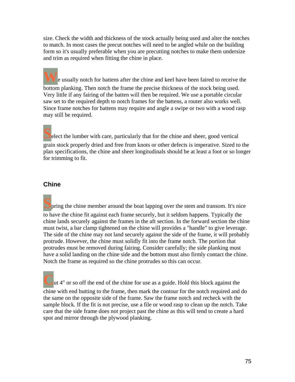size. Check the width and thickness of the stock actually being used and alter the notches to match. In most cases the precut notches will need to be angled while on the building form so it's usually preferable when you are precutting notches to make them undersize and trim as required when fitting the chine in place.

**P** e usually notch for battens after the chine and keel have been faired to receive the bottom planking. Then notch the frame the precise thickness of the stock being used. Very little if any fairing of the batten will then be required. We use a portable circular saw set to the required depth to notch frames for the battens, a router also works well. Since frame notches for battens may require and angle a swipe or two with a wood rasp may still be required.

**S**elect the lumber with care, particularly that for the chine and sheer, good vertical grain stock properly dried and free from knots or other defects is imperative. Sized to the plan specifications, the chine and sheer longitudinals should be at least a foot or so longer for trimming to fit.

#### **Chine**

**S**pring the chine member around the boat lapping over the stem and transom. It's nice to have the chine fit against each frame securely, but it seldom happens. Typically the chine lands securely against the frames in the aft section. In the forward section the chine must twist, a bar clamp tightened on the chine will provides a "handle" to give leverage. The side of the chine may not land securely against the side of the frame, it will probably protrude. However, the chine must solidly fit into the frame notch. The portion that protrudes must be removed during fairing. Consider carefully; the side planking must have a solid landing on the chine side and the bottom must also firmly contact the chine. Notch the frame as required so the chine protrudes so this can occur.

ut 4" or so off the end of the chine for use as a guide. Hold this block against the chine with end butting to the frame, then mark the contour for the notch required and do the same on the opposite side of the frame. Saw the frame notch and recheck with the sample block. If the fit is not precise, use a file or wood rasp to clean up the notch. Take care that the side frame does not project past the chine as this will tend to create a hard spot and mirror through the plywood planking.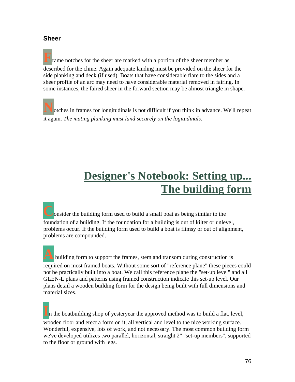#### **Sheer**

rame notches for the sheer are marked with a portion of the sheer member as described for the chine. Again adequate landing must be provided on the sheer for the side planking and deck (if used). Boats that have considerable flare to the sides and a sheer profile of an arc may need to have considerable material removed in fairing. In some instances, the faired sheer in the forward section may be almost triangle in shape.

**N**otches in frames for longitudinals is not difficult if you think in advance. We'll repeat it again. *The mating planking must land securely on the logitudinals.*

## **Designer's Notebook: Setting up... The building form**

**Consider the building form used to build a small boat as being similar to the** foundation of a building. If the foundation for a building is out of kilter or unlevel, problems occur. If the building form used to build a boat is flimsy or out of alignment, problems are compounded.

**A** building form to support the frames, stem and transom during construction is required on most framed boats. Without some sort of "reference plane" these pieces could not be practically built into a boat. We call this reference plane the "set-up level" and all GLEN-L plans and patterns using framed construction indicate this set-up level. Our plans detail a wooden building form for the design being built with full dimensions and material sizes.

In the boatbuilding shop of yesteryear the approved method was to build a flat, level, wooden floor and erect a form on it, all vertical and level to the nice working surface. Wonderful, expensive, lots of work, and not necessary. The most common building form we've developed utilizes two parallel, horizontal, straight 2" "set-up members", supported to the floor or ground with legs.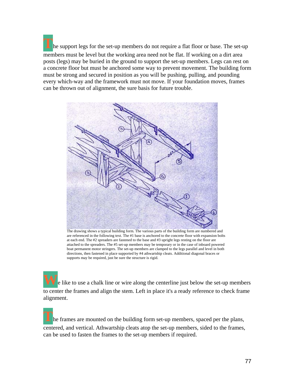**T**he support legs for the set-up members do not require a flat floor or base. The set-up members must be level but the working area need not be flat. If working on a dirt area posts (legs) may be buried in the ground to support the set-up members. Legs can rest on a concrete floor but must be anchored some way to prevent movement. The building form must be strong and secured in position as you will be pushing, pulling, and pounding every which-way and the framework must not move. If your foundation moves, frames can be thrown out of alignment, the sure basis for future trouble.



The drawing shows a typical building form. The various parts of the building form are numbered and are referenced in the following text. The #1 base is anchored to the concrete floor with expansion bolts at each end. The #2 spreaders are fastened to the base and #3 upright legs resting on the floor are attached to the spreaders. The #5 set-up members may be temporary or in the case of inboard powered boat permanent motor stringers. The set-up members are clamped to the legs parallel and level in both directions, then fastened in place supported by #4 athwartship cleats. Additional diagonal braces or supports may be required, just be sure the structure is rigid.

**W**e like to use a chalk line or wire along the centerline just below the set-up members to center the frames and align the stem. Left in place it's a ready reference to check frame alignment.

**T**he frames are mounted on the building form set-up members, spaced per the plans, centered, and vertical. Athwartship cleats atop the set-up members, sided to the frames, can be used to fasten the frames to the set-up members if required.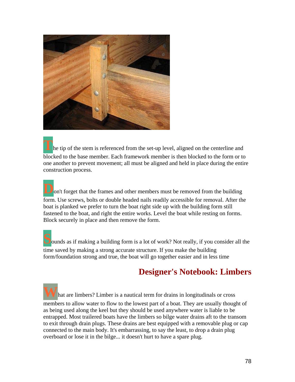

**h**e tip of the stem is referenced from the set-up level, aligned on the centerline and blocked to the base member. Each framework member is then blocked to the form or to one another to prevent movement; all must be aligned and held in place during the entire construction process.

on't forget that the frames and other members must be removed from the building form. Use screws, bolts or double headed nails readily accessible for removal. After the boat is planked we prefer to turn the boat right side up with the building form still fastened to the boat, and right the entire works. Level the boat while resting on forms. Block securely in place and then remove the form.

**S**ounds as if making a building form is a lot of work? Not really, if you consider all the time saved by making a strong accurate structure. If you make the building form/foundation strong and true, the boat will go together easier and in less time

### **Designer's Notebook: Limbers**

hat are limbers? Limber is a nautical term for drains in longitudinals or cross members to allow water to flow to the lowest part of a boat. They are usually thought of as being used along the keel but they should be used anywhere water is liable to be entrapped. Most trailered boats have the limbers so bilge water drains aft to the transom to exit through drain plugs. These drains are best equipped with a removable plug or cap connected to the main body. It's embarrassing, to say the least, to drop a drain plug overboard or lose it in the bilge... it doesn't hurt to have a spare plug.